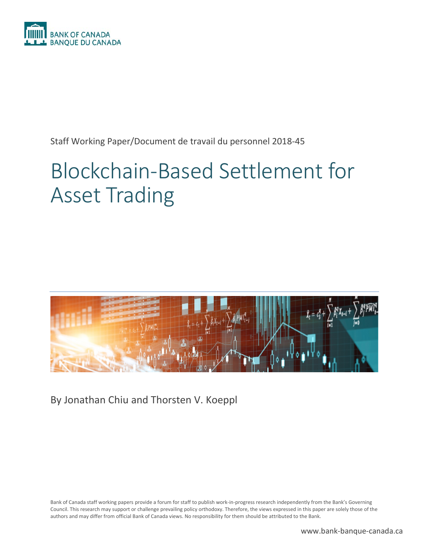

Staff Working Paper/Document de travail du personnel 2018-45

# Blockchain-Based Settlement for Asset Trading



By Jonathan Chiu and Thorsten V. Koeppl

Bank of Canada staff working papers provide a forum for staff to publish work-in-progress research independently from the Bank's Governing Council. This research may support or challenge prevailing policy orthodoxy. Therefore, the views expressed in this paper are solely those of the authors and may differ from official Bank of Canada views. No responsibility for them should be attributed to the Bank.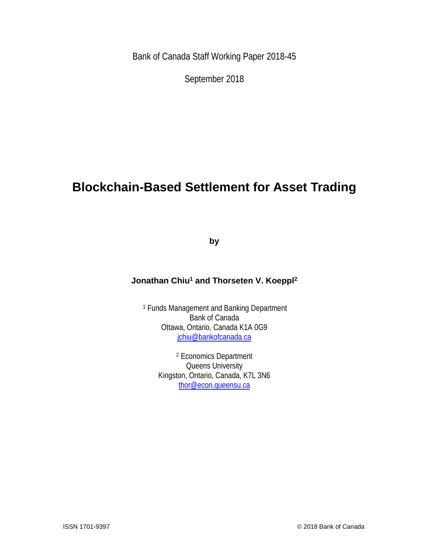Bank of Canada Staff Working Paper 2018-45

September 2018

# **Blockchain-Based Settlement for Asset Trading**

**by**

# **Jonathan Chiu<sup>1</sup> and Thorseten V. Koeppl<sup>2</sup>**

<sup>1</sup> Funds Management and Banking Department Bank of Canada Ottawa, Ontario, Canada K1A 0G9 [jchiu@bankofcanada.ca](mailto:jchiu@bankofcanada.ca)

> <sup>2</sup> Economics Department Queens University Kingston, Ontario, Canada, K7L 3N6 [thor@econ.queensu.ca](mailto:thor@econ.queensu.ca)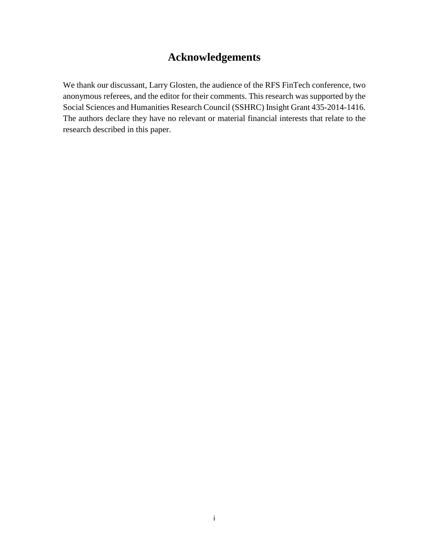# **Acknowledgements**

We thank our discussant, Larry Glosten, the audience of the RFS FinTech conference, two anonymous referees, and the editor for their comments. This research was supported by the Social Sciences and Humanities Research Council (SSHRC) Insight Grant 435-2014-1416. The authors declare they have no relevant or material financial interests that relate to the research described in this paper.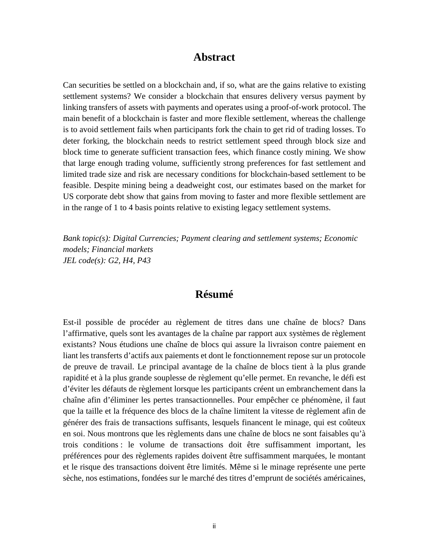# **Abstract**

Can securities be settled on a blockchain and, if so, what are the gains relative to existing settlement systems? We consider a blockchain that ensures delivery versus payment by linking transfers of assets with payments and operates using a proof-of-work protocol. The main benefit of a blockchain is faster and more flexible settlement, whereas the challenge is to avoid settlement fails when participants fork the chain to get rid of trading losses. To deter forking, the blockchain needs to restrict settlement speed through block size and block time to generate sufficient transaction fees, which finance costly mining. We show that large enough trading volume, sufficiently strong preferences for fast settlement and limited trade size and risk are necessary conditions for blockchain-based settlement to be feasible. Despite mining being a deadweight cost, our estimates based on the market for US corporate debt show that gains from moving to faster and more flexible settlement are in the range of 1 to 4 basis points relative to existing legacy settlement systems.

*Bank topic(s): Digital Currencies; Payment clearing and settlement systems; Economic models; Financial markets JEL code(s): G2, H4, P43*

# **Résumé**

Est-il possible de procéder au règlement de titres dans une chaîne de blocs? Dans l'affirmative, quels sont les avantages de la chaîne par rapport aux systèmes de règlement existants? Nous étudions une chaîne de blocs qui assure la livraison contre paiement en liant les transferts d'actifs aux paiements et dont le fonctionnement repose sur un protocole de preuve de travail. Le principal avantage de la chaîne de blocs tient à la plus grande rapidité et à la plus grande souplesse de règlement qu'elle permet. En revanche, le défi est d'éviter les défauts de règlement lorsque les participants créent un embranchement dans la chaîne afin d'éliminer les pertes transactionnelles. Pour empêcher ce phénomène, il faut que la taille et la fréquence des blocs de la chaîne limitent la vitesse de règlement afin de générer des frais de transactions suffisants, lesquels financent le minage, qui est coûteux en soi. Nous montrons que les règlements dans une chaîne de blocs ne sont faisables qu'à trois conditions : le volume de transactions doit être suffisamment important, les préférences pour des règlements rapides doivent être suffisamment marquées, le montant et le risque des transactions doivent être limités. Même si le minage représente une perte sèche, nos estimations, fondées sur le marché des titres d'emprunt de sociétés américaines,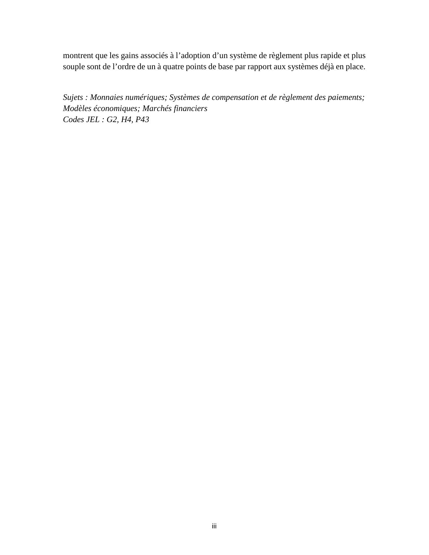montrent que les gains associés à l'adoption d'un système de règlement plus rapide et plus souple sont de l'ordre de un à quatre points de base par rapport aux systèmes déjà en place.

*Sujets : Monnaies numériques; Systèmes de compensation et de règlement des paiements; Modèles économiques; Marchés financiers Codes JEL : G2, H4, P43*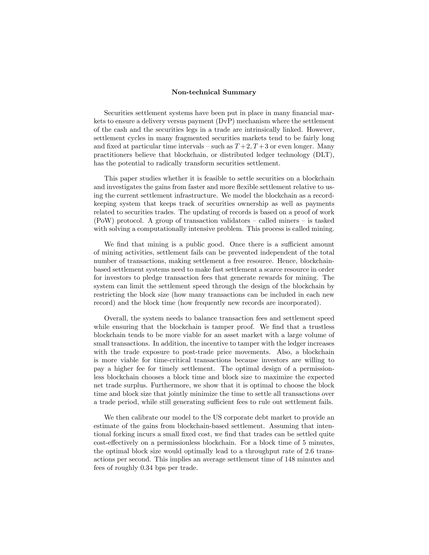#### Non-technical Summary

Securities settlement systems have been put in place in many financial markets to ensure a delivery versus payment (DvP) mechanism where the settlement of the cash and the securities legs in a trade are intrinsically linked. However, settlement cycles in many fragmented securities markets tend to be fairly long and fixed at particular time intervals  $-\text{ such as } T+2, T+3 \text{ or even longer. Many}$ practitioners believe that blockchain, or distributed ledger technology (DLT), has the potential to radically transform securities settlement.

This paper studies whether it is feasible to settle securities on a blockchain and investigates the gains from faster and more flexible settlement relative to using the current settlement infrastructure. We model the blockchain as a recordkeeping system that keeps track of securities ownership as well as payments related to securities trades. The updating of records is based on a proof of work (PoW) protocol. A group of transaction validators  $\overline{\phantom{a}}$  called miners  $\overline{\phantom{a}}$  is tasked with solving a computationally intensive problem. This process is called mining.

We find that mining is a public good. Once there is a sufficient amount of mining activities, settlement fails can be prevented independent of the total number of transactions, making settlement a free resource. Hence, blockchainbased settlement systems need to make fast settlement a scarce resource in order for investors to pledge transaction fees that generate rewards for mining. The system can limit the settlement speed through the design of the blockchain by restricting the block size (how many transactions can be included in each new record) and the block time (how frequently new records are incorporated).

Overall, the system needs to balance transaction fees and settlement speed while ensuring that the blockchain is tamper proof. We find that a trustless blockchain tends to be more viable for an asset market with a large volume of small transactions. In addition, the incentive to tamper with the ledger increases with the trade exposure to post-trade price movements. Also, a blockchain is more viable for time-critical transactions because investors are willing to pay a higher fee for timely settlement. The optimal design of a permissionless blockchain chooses a block time and block size to maximize the expected net trade surplus. Furthermore, we show that it is optimal to choose the block time and block size that jointly minimize the time to settle all transactions over a trade period, while still generating sufficient fees to rule out settlement fails.

We then calibrate our model to the US corporate debt market to provide an estimate of the gains from blockchain-based settlement. Assuming that intentional forking incurs a small fixed cost, we find that trades can be settled quite cost-effectively on a permissionless blockchain. For a block time of 5 minutes, the optimal block size would optimally lead to a throughput rate of 2.6 transactions per second. This implies an average settlement time of 148 minutes and fees of roughly 0.34 bps per trade.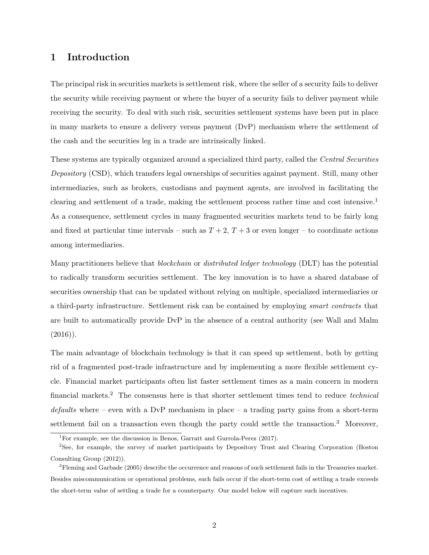# 1 Introduction

The principal risk in securities markets is settlement risk, where the seller of a security fails to deliver the security while receiving payment or where the buyer of a security fails to deliver payment while receiving the security. To deal with such risk, securities settlement systems have been put in place in many markets to ensure a delivery versus payment (DvP) mechanism where the settlement of the cash and the securities leg in a trade are intrinsically linked.

These systems are typically organized around a specialized third party, called the Central Securities Depository (CSD), which transfers legal ownerships of securities against payment. Still, many other intermediaries, such as brokers, custodians and payment agents, are involved in facilitating the clearing and settlement of a trade, making the settlement process rather time and cost intensive.<sup>1</sup> As a consequence, settlement cycles in many fragmented securities markets tend to be fairly long and fixed at particular time intervals – such as  $T + 2$ ,  $T + 3$  or even longer – to coordinate actions among intermediaries.

Many practitioners believe that *blockchain* or *distributed ledger technology* (DLT) has the potential to radically transform securities settlement. The key innovation is to have a shared database of securities ownership that can be updated without relying on multiple, specialized intermediaries or a third-party infrastructure. Settlement risk can be contained by employing smart contracts that are built to automatically provide DvP in the absence of a central authority (see Wall and Malm  $(2016)$ ).

The main advantage of blockchain technology is that it can speed up settlement, both by getting rid of a fragmented post-trade infrastructure and by implementing a more flexible settlement cycle. Financial market participants often list faster settlement times as a main concern in modern financial markets.<sup>2</sup> The consensus here is that shorter settlement times tend to reduce *technical*  $defaults$  where – even with a DvP mechanism in place – a trading party gains from a short-term settlement fail on a transaction even though the party could settle the transaction.<sup>3</sup> Moreover,

<sup>1</sup>For example, see the discussion in Benos, Garratt and Gurrola-Perez (2017).

<sup>2</sup>See, for example, the survey of market participants by Depository Trust and Clearing Corporation (Boston Consulting Group (2012)).

<sup>&</sup>lt;sup>3</sup>Fleming and Garbade (2005) describe the occurrence and reasons of such settlement fails in the Treasuries market. Besides miscommunication or operational problems, such fails occur if the short-term cost of settling a trade exceeds the short-term value of settling a trade for a counterparty. Our model below will capture such incentives.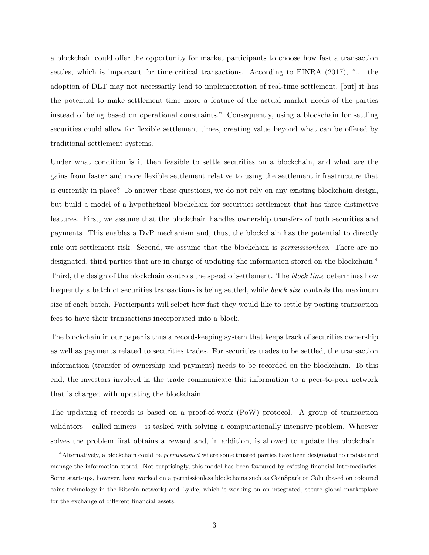a blockchain could offer the opportunity for market participants to choose how fast a transaction settles, which is important for time-critical transactions. According to FINRA (2017), "... the adoption of DLT may not necessarily lead to implementation of real-time settlement, [but] it has the potential to make settlement time more a feature of the actual market needs of the parties instead of being based on operational constraints." Consequently, using a blockchain for settling securities could allow for flexible settlement times, creating value beyond what can be offered by traditional settlement systems.

Under what condition is it then feasible to settle securities on a blockchain, and what are the gains from faster and more flexible settlement relative to using the settlement infrastructure that is currently in place? To answer these questions, we do not rely on any existing blockchain design, but build a model of a hypothetical blockchain for securities settlement that has three distinctive features. First, we assume that the blockchain handles ownership transfers of both securities and payments. This enables a DvP mechanism and, thus, the blockchain has the potential to directly rule out settlement risk. Second, we assume that the blockchain is permissionless. There are no designated, third parties that are in charge of updating the information stored on the blockchain.<sup>4</sup> Third, the design of the blockchain controls the speed of settlement. The block time determines how frequently a batch of securities transactions is being settled, while block size controls the maximum size of each batch. Participants will select how fast they would like to settle by posting transaction fees to have their transactions incorporated into a block.

The blockchain in our paper is thus a record-keeping system that keeps track of securities ownership as well as payments related to securities trades. For securities trades to be settled, the transaction information (transfer of ownership and payment) needs to be recorded on the blockchain. To this end, the investors involved in the trade communicate this information to a peer-to-peer network that is charged with updating the blockchain.

The updating of records is based on a proof-of-work (PoW) protocol. A group of transaction validators – called miners – is tasked with solving a computationally intensive problem. Whoever solves the problem first obtains a reward and, in addition, is allowed to update the blockchain.

<sup>&</sup>lt;sup>4</sup>Alternatively, a blockchain could be *permissioned* where some trusted parties have been designated to update and manage the information stored. Not surprisingly, this model has been favoured by existing financial intermediaries. Some start-ups, however, have worked on a permissionless blockchains such as CoinSpark or Colu (based on coloured coins technology in the Bitcoin network) and Lykke, which is working on an integrated, secure global marketplace for the exchange of different financial assets.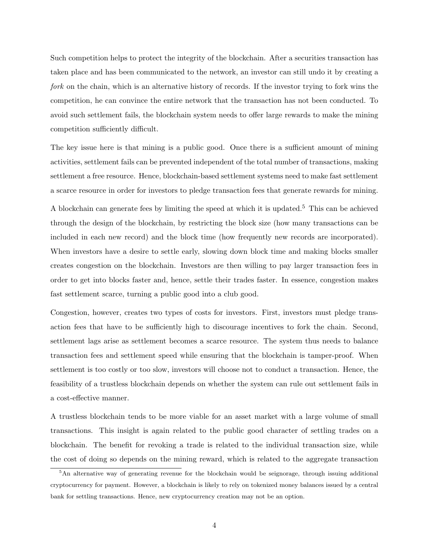Such competition helps to protect the integrity of the blockchain. After a securities transaction has taken place and has been communicated to the network, an investor can still undo it by creating a fork on the chain, which is an alternative history of records. If the investor trying to fork wins the competition, he can convince the entire network that the transaction has not been conducted. To avoid such settlement fails, the blockchain system needs to offer large rewards to make the mining competition sufficiently difficult.

The key issue here is that mining is a public good. Once there is a sufficient amount of mining activities, settlement fails can be prevented independent of the total number of transactions, making settlement a free resource. Hence, blockchain-based settlement systems need to make fast settlement a scarce resource in order for investors to pledge transaction fees that generate rewards for mining.

A blockchain can generate fees by limiting the speed at which it is updated.<sup>5</sup> This can be achieved through the design of the blockchain, by restricting the block size (how many transactions can be included in each new record) and the block time (how frequently new records are incorporated). When investors have a desire to settle early, slowing down block time and making blocks smaller creates congestion on the blockchain. Investors are then willing to pay larger transaction fees in order to get into blocks faster and, hence, settle their trades faster. In essence, congestion makes fast settlement scarce, turning a public good into a club good.

Congestion, however, creates two types of costs for investors. First, investors must pledge transaction fees that have to be sufficiently high to discourage incentives to fork the chain. Second, settlement lags arise as settlement becomes a scarce resource. The system thus needs to balance transaction fees and settlement speed while ensuring that the blockchain is tamper-proof. When settlement is too costly or too slow, investors will choose not to conduct a transaction. Hence, the feasibility of a trustless blockchain depends on whether the system can rule out settlement fails in a cost-effective manner.

A trustless blockchain tends to be more viable for an asset market with a large volume of small transactions. This insight is again related to the public good character of settling trades on a blockchain. The benefit for revoking a trade is related to the individual transaction size, while the cost of doing so depends on the mining reward, which is related to the aggregate transaction

<sup>&</sup>lt;sup>5</sup>An alternative way of generating revenue for the blockchain would be seignorage, through issuing additional cryptocurrency for payment. However, a blockchain is likely to rely on tokenized money balances issued by a central bank for settling transactions. Hence, new cryptocurrency creation may not be an option.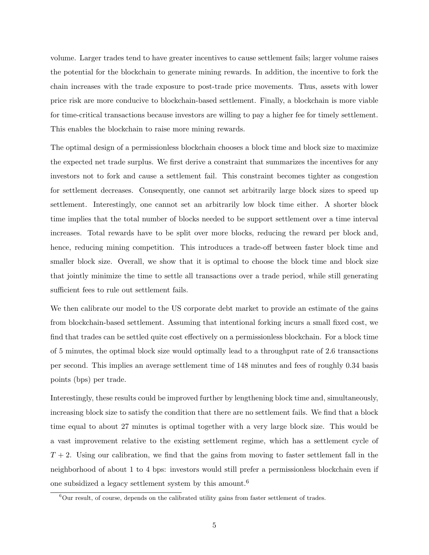volume. Larger trades tend to have greater incentives to cause settlement fails; larger volume raises the potential for the blockchain to generate mining rewards. In addition, the incentive to fork the chain increases with the trade exposure to post-trade price movements. Thus, assets with lower price risk are more conducive to blockchain-based settlement. Finally, a blockchain is more viable for time-critical transactions because investors are willing to pay a higher fee for timely settlement. This enables the blockchain to raise more mining rewards.

The optimal design of a permissionless blockchain chooses a block time and block size to maximize the expected net trade surplus. We first derive a constraint that summarizes the incentives for any investors not to fork and cause a settlement fail. This constraint becomes tighter as congestion for settlement decreases. Consequently, one cannot set arbitrarily large block sizes to speed up settlement. Interestingly, one cannot set an arbitrarily low block time either. A shorter block time implies that the total number of blocks needed to be support settlement over a time interval increases. Total rewards have to be split over more blocks, reducing the reward per block and, hence, reducing mining competition. This introduces a trade-off between faster block time and smaller block size. Overall, we show that it is optimal to choose the block time and block size that jointly minimize the time to settle all transactions over a trade period, while still generating sufficient fees to rule out settlement fails.

We then calibrate our model to the US corporate debt market to provide an estimate of the gains from blockchain-based settlement. Assuming that intentional forking incurs a small fixed cost, we find that trades can be settled quite cost effectively on a permissionless blockchain. For a block time of 5 minutes, the optimal block size would optimally lead to a throughput rate of 2.6 transactions per second. This implies an average settlement time of 148 minutes and fees of roughly 0.34 basis points (bps) per trade.

Interestingly, these results could be improved further by lengthening block time and, simultaneously, increasing block size to satisfy the condition that there are no settlement fails. We find that a block time equal to about 27 minutes is optimal together with a very large block size. This would be a vast improvement relative to the existing settlement regime, which has a settlement cycle of  $T + 2$ . Using our calibration, we find that the gains from moving to faster settlement fall in the neighborhood of about 1 to 4 bps: investors would still prefer a permissionless blockchain even if one subsidized a legacy settlement system by this amount.<sup>6</sup>

<sup>6</sup>Our result, of course, depends on the calibrated utility gains from faster settlement of trades.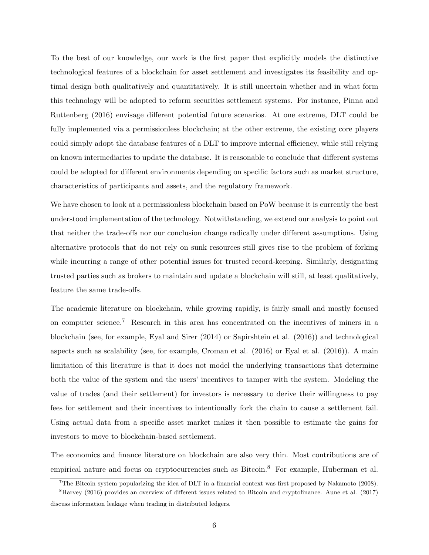To the best of our knowledge, our work is the first paper that explicitly models the distinctive technological features of a blockchain for asset settlement and investigates its feasibility and optimal design both qualitatively and quantitatively. It is still uncertain whether and in what form this technology will be adopted to reform securities settlement systems. For instance, Pinna and Ruttenberg (2016) envisage different potential future scenarios. At one extreme, DLT could be fully implemented via a permissionless blockchain; at the other extreme, the existing core players could simply adopt the database features of a DLT to improve internal efficiency, while still relying on known intermediaries to update the database. It is reasonable to conclude that different systems could be adopted for different environments depending on specific factors such as market structure, characteristics of participants and assets, and the regulatory framework.

We have chosen to look at a permissionless blockchain based on PoW because it is currently the best understood implementation of the technology. Notwithstanding, we extend our analysis to point out that neither the trade-offs nor our conclusion change radically under different assumptions. Using alternative protocols that do not rely on sunk resources still gives rise to the problem of forking while incurring a range of other potential issues for trusted record-keeping. Similarly, designating trusted parties such as brokers to maintain and update a blockchain will still, at least qualitatively, feature the same trade-offs.

The academic literature on blockchain, while growing rapidly, is fairly small and mostly focused on computer science.<sup>7</sup> Research in this area has concentrated on the incentives of miners in a blockchain (see, for example, Eyal and Sirer (2014) or Sapirshtein et al. (2016)) and technological aspects such as scalability (see, for example, Croman et al. (2016) or Eyal et al. (2016)). A main limitation of this literature is that it does not model the underlying transactions that determine both the value of the system and the users' incentives to tamper with the system. Modeling the value of trades (and their settlement) for investors is necessary to derive their willingness to pay fees for settlement and their incentives to intentionally fork the chain to cause a settlement fail. Using actual data from a specific asset market makes it then possible to estimate the gains for investors to move to blockchain-based settlement.

The economics and finance literature on blockchain are also very thin. Most contributions are of empirical nature and focus on cryptocurrencies such as Bitcoin.<sup>8</sup> For example, Huberman et al.

<sup>7</sup>The Bitcoin system popularizing the idea of DLT in a financial context was first proposed by Nakamoto (2008).

<sup>8</sup>Harvey (2016) provides an overview of different issues related to Bitcoin and cryptofinance. Aune et al. (2017) discuss information leakage when trading in distributed ledgers.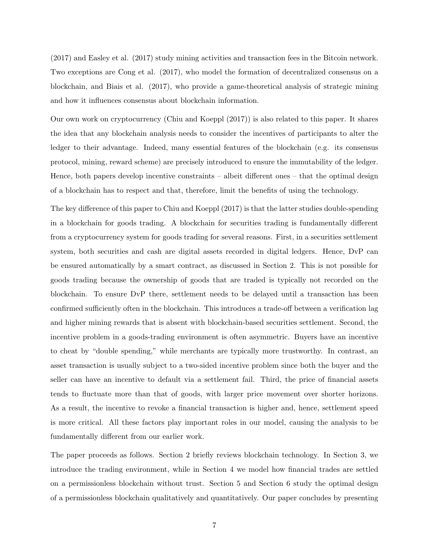(2017) and Easley et al. (2017) study mining activities and transaction fees in the Bitcoin network. Two exceptions are Cong et al. (2017), who model the formation of decentralized consensus on a blockchain, and Biais et al. (2017), who provide a game-theoretical analysis of strategic mining and how it influences consensus about blockchain information.

Our own work on cryptocurrency (Chiu and Koeppl (2017)) is also related to this paper. It shares the idea that any blockchain analysis needs to consider the incentives of participants to alter the ledger to their advantage. Indeed, many essential features of the blockchain (e.g. its consensus protocol, mining, reward scheme) are precisely introduced to ensure the immutability of the ledger. Hence, both papers develop incentive constraints – albeit different ones – that the optimal design of a blockchain has to respect and that, therefore, limit the benefits of using the technology.

The key difference of this paper to Chiu and Koeppl (2017) is that the latter studies double-spending in a blockchain for goods trading. A blockchain for securities trading is fundamentally different from a cryptocurrency system for goods trading for several reasons. First, in a securities settlement system, both securities and cash are digital assets recorded in digital ledgers. Hence, DvP can be ensured automatically by a smart contract, as discussed in Section 2. This is not possible for goods trading because the ownership of goods that are traded is typically not recorded on the blockchain. To ensure DvP there, settlement needs to be delayed until a transaction has been confirmed sufficiently often in the blockchain. This introduces a trade-off between a verification lag and higher mining rewards that is absent with blockchain-based securities settlement. Second, the incentive problem in a goods-trading environment is often asymmetric. Buyers have an incentive to cheat by "double spending," while merchants are typically more trustworthy. In contrast, an asset transaction is usually subject to a two-sided incentive problem since both the buyer and the seller can have an incentive to default via a settlement fail. Third, the price of financial assets tends to fluctuate more than that of goods, with larger price movement over shorter horizons. As a result, the incentive to revoke a financial transaction is higher and, hence, settlement speed is more critical. All these factors play important roles in our model, causing the analysis to be fundamentally different from our earlier work.

The paper proceeds as follows. Section 2 briefly reviews blockchain technology. In Section 3, we introduce the trading environment, while in Section 4 we model how financial trades are settled on a permissionless blockchain without trust. Section 5 and Section 6 study the optimal design of a permissionless blockchain qualitatively and quantitatively. Our paper concludes by presenting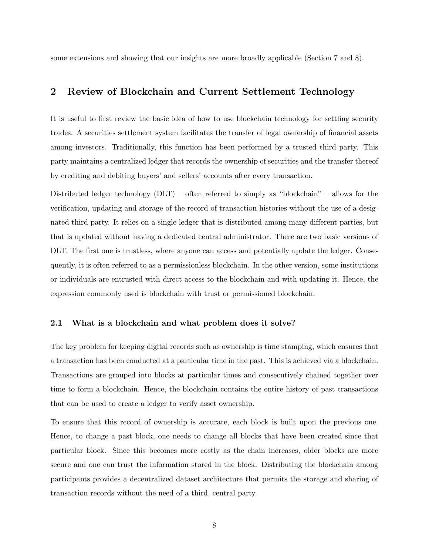some extensions and showing that our insights are more broadly applicable (Section 7 and 8).

# 2 Review of Blockchain and Current Settlement Technology

It is useful to first review the basic idea of how to use blockchain technology for settling security trades. A securities settlement system facilitates the transfer of legal ownership of financial assets among investors. Traditionally, this function has been performed by a trusted third party. This party maintains a centralized ledger that records the ownership of securities and the transfer thereof by crediting and debiting buyers' and sellers' accounts after every transaction.

Distributed ledger technology (DLT) – often referred to simply as "blockchain" – allows for the verification, updating and storage of the record of transaction histories without the use of a designated third party. It relies on a single ledger that is distributed among many different parties, but that is updated without having a dedicated central administrator. There are two basic versions of DLT. The first one is trustless, where anyone can access and potentially update the ledger. Consequently, it is often referred to as a permissionless blockchain. In the other version, some institutions or individuals are entrusted with direct access to the blockchain and with updating it. Hence, the expression commonly used is blockchain with trust or permissioned blockchain.

#### 2.1 What is a blockchain and what problem does it solve?

The key problem for keeping digital records such as ownership is time stamping, which ensures that a transaction has been conducted at a particular time in the past. This is achieved via a blockchain. Transactions are grouped into blocks at particular times and consecutively chained together over time to form a blockchain. Hence, the blockchain contains the entire history of past transactions that can be used to create a ledger to verify asset ownership.

To ensure that this record of ownership is accurate, each block is built upon the previous one. Hence, to change a past block, one needs to change all blocks that have been created since that particular block. Since this becomes more costly as the chain increases, older blocks are more secure and one can trust the information stored in the block. Distributing the blockchain among participants provides a decentralized dataset architecture that permits the storage and sharing of transaction records without the need of a third, central party.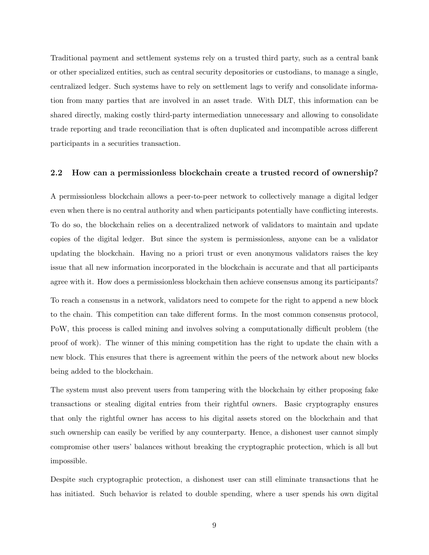Traditional payment and settlement systems rely on a trusted third party, such as a central bank or other specialized entities, such as central security depositories or custodians, to manage a single, centralized ledger. Such systems have to rely on settlement lags to verify and consolidate information from many parties that are involved in an asset trade. With DLT, this information can be shared directly, making costly third-party intermediation unnecessary and allowing to consolidate trade reporting and trade reconciliation that is often duplicated and incompatible across different participants in a securities transaction.

#### 2.2 How can a permissionless blockchain create a trusted record of ownership?

A permissionless blockchain allows a peer-to-peer network to collectively manage a digital ledger even when there is no central authority and when participants potentially have conflicting interests. To do so, the blockchain relies on a decentralized network of validators to maintain and update copies of the digital ledger. But since the system is permissionless, anyone can be a validator updating the blockchain. Having no a priori trust or even anonymous validators raises the key issue that all new information incorporated in the blockchain is accurate and that all participants agree with it. How does a permissionless blockchain then achieve consensus among its participants?

To reach a consensus in a network, validators need to compete for the right to append a new block to the chain. This competition can take different forms. In the most common consensus protocol, PoW, this process is called mining and involves solving a computationally difficult problem (the proof of work). The winner of this mining competition has the right to update the chain with a new block. This ensures that there is agreement within the peers of the network about new blocks being added to the blockchain.

The system must also prevent users from tampering with the blockchain by either proposing fake transactions or stealing digital entries from their rightful owners. Basic cryptography ensures that only the rightful owner has access to his digital assets stored on the blockchain and that such ownership can easily be verified by any counterparty. Hence, a dishonest user cannot simply compromise other users' balances without breaking the cryptographic protection, which is all but impossible.

Despite such cryptographic protection, a dishonest user can still eliminate transactions that he has initiated. Such behavior is related to double spending, where a user spends his own digital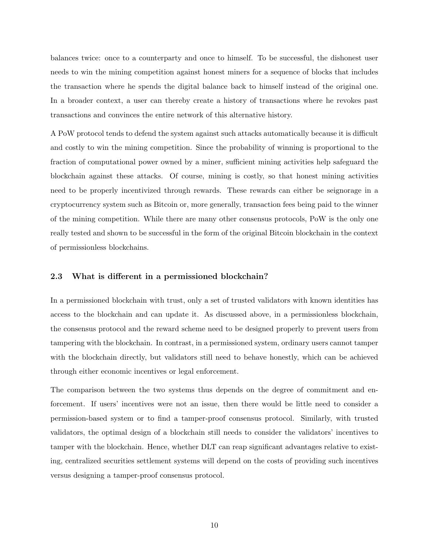balances twice: once to a counterparty and once to himself. To be successful, the dishonest user needs to win the mining competition against honest miners for a sequence of blocks that includes the transaction where he spends the digital balance back to himself instead of the original one. In a broader context, a user can thereby create a history of transactions where he revokes past transactions and convinces the entire network of this alternative history.

A PoW protocol tends to defend the system against such attacks automatically because it is difficult and costly to win the mining competition. Since the probability of winning is proportional to the fraction of computational power owned by a miner, sufficient mining activities help safeguard the blockchain against these attacks. Of course, mining is costly, so that honest mining activities need to be properly incentivized through rewards. These rewards can either be seignorage in a cryptocurrency system such as Bitcoin or, more generally, transaction fees being paid to the winner of the mining competition. While there are many other consensus protocols, PoW is the only one really tested and shown to be successful in the form of the original Bitcoin blockchain in the context of permissionless blockchains.

#### 2.3 What is different in a permissioned blockchain?

In a permissioned blockchain with trust, only a set of trusted validators with known identities has access to the blockchain and can update it. As discussed above, in a permissionless blockchain, the consensus protocol and the reward scheme need to be designed properly to prevent users from tampering with the blockchain. In contrast, in a permissioned system, ordinary users cannot tamper with the blockchain directly, but validators still need to behave honestly, which can be achieved through either economic incentives or legal enforcement.

The comparison between the two systems thus depends on the degree of commitment and enforcement. If users' incentives were not an issue, then there would be little need to consider a permission-based system or to find a tamper-proof consensus protocol. Similarly, with trusted validators, the optimal design of a blockchain still needs to consider the validators' incentives to tamper with the blockchain. Hence, whether DLT can reap significant advantages relative to existing, centralized securities settlement systems will depend on the costs of providing such incentives versus designing a tamper-proof consensus protocol.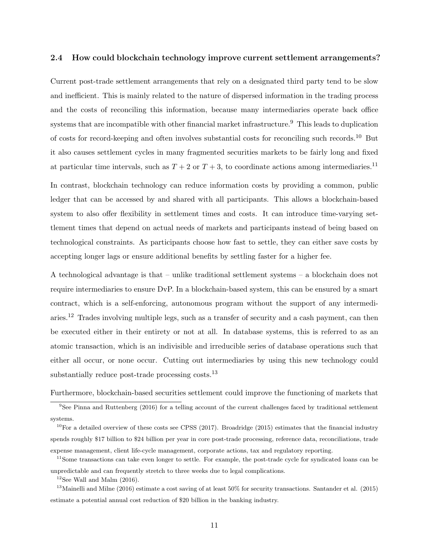#### 2.4 How could blockchain technology improve current settlement arrangements?

Current post-trade settlement arrangements that rely on a designated third party tend to be slow and inefficient. This is mainly related to the nature of dispersed information in the trading process and the costs of reconciling this information, because many intermediaries operate back office systems that are incompatible with other financial market infrastructure.<sup>9</sup> This leads to duplication of costs for record-keeping and often involves substantial costs for reconciling such records.<sup>10</sup> But it also causes settlement cycles in many fragmented securities markets to be fairly long and fixed at particular time intervals, such as  $T + 2$  or  $T + 3$ , to coordinate actions among intermediaries.<sup>11</sup>

In contrast, blockchain technology can reduce information costs by providing a common, public ledger that can be accessed by and shared with all participants. This allows a blockchain-based system to also offer flexibility in settlement times and costs. It can introduce time-varying settlement times that depend on actual needs of markets and participants instead of being based on technological constraints. As participants choose how fast to settle, they can either save costs by accepting longer lags or ensure additional benefits by settling faster for a higher fee.

A technological advantage is that – unlike traditional settlement systems – a blockchain does not require intermediaries to ensure DvP. In a blockchain-based system, this can be ensured by a smart contract, which is a self-enforcing, autonomous program without the support of any intermediaries.<sup>12</sup> Trades involving multiple legs, such as a transfer of security and a cash payment, can then be executed either in their entirety or not at all. In database systems, this is referred to as an atomic transaction, which is an indivisible and irreducible series of database operations such that either all occur, or none occur. Cutting out intermediaries by using this new technology could substantially reduce post-trade processing costs.<sup>13</sup>

Furthermore, blockchain-based securities settlement could improve the functioning of markets that

 ${}^{9}$ See Pinna and Ruttenberg (2016) for a telling account of the current challenges faced by traditional settlement systems.

 $^{10}$ For a detailed overview of these costs see CPSS (2017). Broadridge (2015) estimates that the financial industry spends roughly \$17 billion to \$24 billion per year in core post-trade processing, reference data, reconciliations, trade expense management, client life-cycle management, corporate actions, tax and regulatory reporting.

<sup>&</sup>lt;sup>11</sup>Some transactions can take even longer to settle. For example, the post-trade cycle for syndicated loans can be unpredictable and can frequently stretch to three weeks due to legal complications.

 $12$ See Wall and Malm  $(2016)$ .

 $13$ Mainelli and Milne (2016) estimate a cost saving of at least  $50\%$  for security transactions. Santander et al. (2015) estimate a potential annual cost reduction of \$20 billion in the banking industry.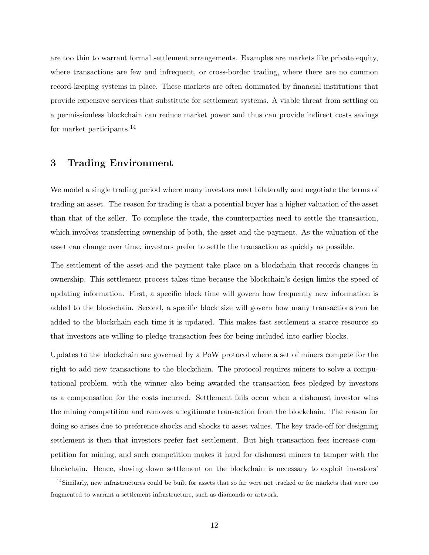are too thin to warrant formal settlement arrangements. Examples are markets like private equity, where transactions are few and infrequent, or cross-border trading, where there are no common record-keeping systems in place. These markets are often dominated by financial institutions that provide expensive services that substitute for settlement systems. A viable threat from settling on a permissionless blockchain can reduce market power and thus can provide indirect costs savings for market participants.<sup>14</sup>

# 3 Trading Environment

We model a single trading period where many investors meet bilaterally and negotiate the terms of trading an asset. The reason for trading is that a potential buyer has a higher valuation of the asset than that of the seller. To complete the trade, the counterparties need to settle the transaction, which involves transferring ownership of both, the asset and the payment. As the valuation of the asset can change over time, investors prefer to settle the transaction as quickly as possible.

The settlement of the asset and the payment take place on a blockchain that records changes in ownership. This settlement process takes time because the blockchain's design limits the speed of updating information. First, a specific block time will govern how frequently new information is added to the blockchain. Second, a specific block size will govern how many transactions can be added to the blockchain each time it is updated. This makes fast settlement a scarce resource so that investors are willing to pledge transaction fees for being included into earlier blocks.

Updates to the blockchain are governed by a PoW protocol where a set of miners compete for the right to add new transactions to the blockchain. The protocol requires miners to solve a computational problem, with the winner also being awarded the transaction fees pledged by investors as a compensation for the costs incurred. Settlement fails occur when a dishonest investor wins the mining competition and removes a legitimate transaction from the blockchain. The reason for doing so arises due to preference shocks and shocks to asset values. The key trade-off for designing settlement is then that investors prefer fast settlement. But high transaction fees increase competition for mining, and such competition makes it hard for dishonest miners to tamper with the blockchain. Hence, slowing down settlement on the blockchain is necessary to exploit investors'

<sup>14</sup>Similarly, new infrastructures could be built for assets that so far were not tracked or for markets that were too fragmented to warrant a settlement infrastructure, such as diamonds or artwork.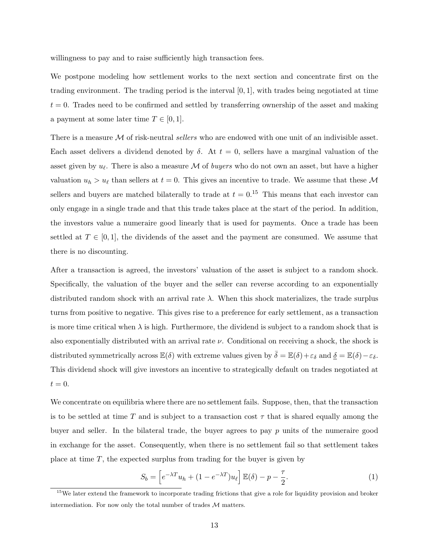willingness to pay and to raise sufficiently high transaction fees.

We postpone modeling how settlement works to the next section and concentrate first on the trading environment. The trading period is the interval  $[0, 1]$ , with trades being negotiated at time  $t = 0$ . Trades need to be confirmed and settled by transferring ownership of the asset and making a payment at some later time  $T \in [0, 1]$ .

There is a measure  $\mathcal M$  of risk-neutral sellers who are endowed with one unit of an indivisible asset. Each asset delivers a dividend denoted by  $\delta$ . At  $t = 0$ , sellers have a marginal valuation of the asset given by  $u_{\ell}$ . There is also a measure M of *buyers* who do not own an asset, but have a higher valuation  $u_h > u_\ell$  than sellers at  $t = 0$ . This gives an incentive to trade. We assume that these M sellers and buyers are matched bilaterally to trade at  $t = 0.15$  This means that each investor can only engage in a single trade and that this trade takes place at the start of the period. In addition, the investors value a numeraire good linearly that is used for payments. Once a trade has been settled at  $T \in [0, 1]$ , the dividends of the asset and the payment are consumed. We assume that there is no discounting.

After a transaction is agreed, the investors' valuation of the asset is subject to a random shock. Specifically, the valuation of the buyer and the seller can reverse according to an exponentially distributed random shock with an arrival rate  $\lambda$ . When this shock materializes, the trade surplus turns from positive to negative. This gives rise to a preference for early settlement, as a transaction is more time critical when  $\lambda$  is high. Furthermore, the dividend is subject to a random shock that is also exponentially distributed with an arrival rate  $\nu$ . Conditional on receiving a shock, the shock is distributed symmetrically across  $\mathbb{E}(\delta)$  with extreme values given by  $\delta = \mathbb{E}(\delta) + \varepsilon_{\delta}$  and  $\underline{\delta} = \mathbb{E}(\delta) - \varepsilon_{\delta}$ . This dividend shock will give investors an incentive to strategically default on trades negotiated at  $t=0.$ 

We concentrate on equilibria where there are no settlement fails. Suppose, then, that the transaction is to be settled at time T and is subject to a transaction cost  $\tau$  that is shared equally among the buyer and seller. In the bilateral trade, the buyer agrees to pay  $p$  units of the numeraire good in exchange for the asset. Consequently, when there is no settlement fail so that settlement takes place at time  $T$ , the expected surplus from trading for the buyer is given by

$$
S_b = \left[ e^{-\lambda T} u_h + (1 - e^{-\lambda T}) u_\ell \right] \mathbb{E}(\delta) - p - \frac{\tau}{2}.
$$
 (1)

<sup>&</sup>lt;sup>15</sup>We later extend the framework to incorporate trading frictions that give a role for liquidity provision and broker intermediation. For now only the total number of trades M matters.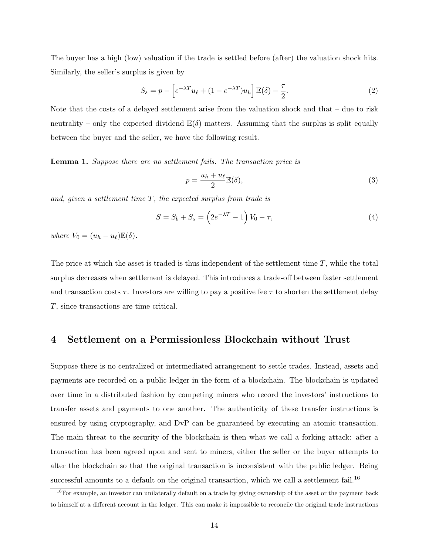The buyer has a high (low) valuation if the trade is settled before (after) the valuation shock hits. Similarly, the seller's surplus is given by

$$
S_s = p - \left[ e^{-\lambda T} u_\ell + (1 - e^{-\lambda T}) u_h \right] \mathbb{E}(\delta) - \frac{\tau}{2}.
$$
 (2)

Note that the costs of a delayed settlement arise from the valuation shock and that – due to risk neutrality – only the expected dividend  $\mathbb{E}(\delta)$  matters. Assuming that the surplus is split equally between the buyer and the seller, we have the following result.

Lemma 1. Suppose there are no settlement fails. The transaction price is

$$
p = \frac{u_h + u_\ell}{2} \mathbb{E}(\delta),\tag{3}
$$

and, given a settlement time  $T$ , the expected surplus from trade is

$$
S = S_b + S_s = \left(2e^{-\lambda T} - 1\right)V_0 - \tau,
$$
\n(4)

where  $V_0 = (u_h - u_\ell) \mathbb{E}(\delta)$ .

The price at which the asset is traded is thus independent of the settlement time  $T$ , while the total surplus decreases when settlement is delayed. This introduces a trade-off between faster settlement and transaction costs  $\tau$ . Investors are willing to pay a positive fee  $\tau$  to shorten the settlement delay T, since transactions are time critical.

# 4 Settlement on a Permissionless Blockchain without Trust

Suppose there is no centralized or intermediated arrangement to settle trades. Instead, assets and payments are recorded on a public ledger in the form of a blockchain. The blockchain is updated over time in a distributed fashion by competing miners who record the investors' instructions to transfer assets and payments to one another. The authenticity of these transfer instructions is ensured by using cryptography, and DvP can be guaranteed by executing an atomic transaction. The main threat to the security of the blockchain is then what we call a forking attack: after a transaction has been agreed upon and sent to miners, either the seller or the buyer attempts to alter the blockchain so that the original transaction is inconsistent with the public ledger. Being successful amounts to a default on the original transaction, which we call a settlement fail.<sup>16</sup>

 $16$ For example, an investor can unilaterally default on a trade by giving ownership of the asset or the payment back to himself at a different account in the ledger. This can make it impossible to reconcile the original trade instructions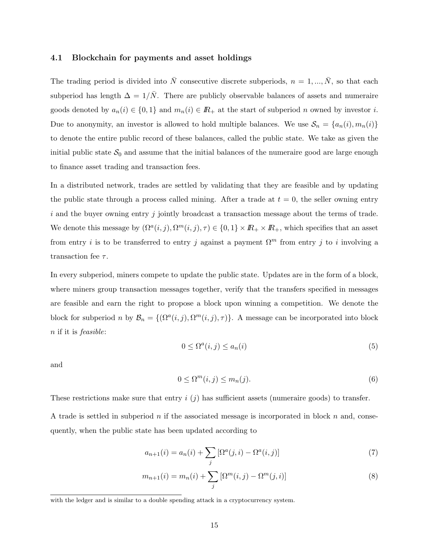#### 4.1 Blockchain for payments and asset holdings

The trading period is divided into  $\bar{N}$  consecutive discrete subperiods,  $n = 1, ..., \bar{N}$ , so that each subperiod has length  $\Delta = 1/\bar{N}$ . There are publicly observable balances of assets and numeraire goods denoted by  $a_n(i) \in \{0,1\}$  and  $m_n(i) \in \mathbb{R}_+$  at the start of subperiod n owned by investor i. Due to anonymity, an investor is allowed to hold multiple balances. We use  $S_n = \{a_n(i), m_n(i)\}\$ to denote the entire public record of these balances, called the public state. We take as given the initial public state  $S_0$  and assume that the initial balances of the numeraire good are large enough to finance asset trading and transaction fees.

In a distributed network, trades are settled by validating that they are feasible and by updating the public state through a process called mining. After a trade at  $t = 0$ , the seller owning entry  $i$  and the buyer owning entry  $j$  jointly broadcast a transaction message about the terms of trade. We denote this message by  $(\Omega^a(i,j), \Omega^m(i,j), \tau) \in \{0,1\} \times \mathbb{R}_+ \times \mathbb{R}_+$ , which specifies that an asset from entry *i* is to be transferred to entry *j* against a payment  $\Omega^m$  from entry *j* to *i* involving a transaction fee  $\tau$ .

In every subperiod, miners compete to update the public state. Updates are in the form of a block, where miners group transaction messages together, verify that the transfers specified in messages are feasible and earn the right to propose a block upon winning a competition. We denote the block for subperiod n by  $\mathcal{B}_n = \{(\Omega^a(i,j), \Omega^m(i,j), \tau)\}\.$  A message can be incorporated into block n if it is feasible:

$$
0 \le \Omega^a(i,j) \le a_n(i) \tag{5}
$$

and

$$
0 \le \Omega^m(i,j) \le m_n(j). \tag{6}
$$

These restrictions make sure that entry  $i$   $(j)$  has sufficient assets (numeraire goods) to transfer.

A trade is settled in subperiod n if the associated message is incorporated in block n and, consequently, when the public state has been updated according to

$$
a_{n+1}(i) = a_n(i) + \sum_j [\Omega^a(j, i) - \Omega^a(i, j)] \tag{7}
$$

$$
m_{n+1}(i) = m_n(i) + \sum_j [\Omega^m(i,j) - \Omega^m(j,i)]
$$
\n(8)

with the ledger and is similar to a double spending attack in a cryptocurrency system.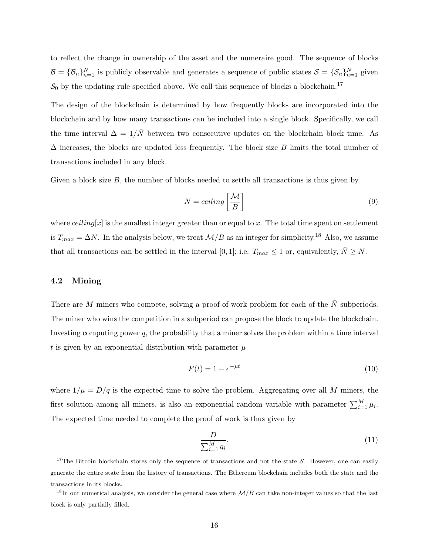to reflect the change in ownership of the asset and the numeraire good. The sequence of blocks  $\mathcal{B} = \{\mathcal{B}_n\}_{n=1}^{\bar{N}}$  is publicly observable and generates a sequence of public states  $\mathcal{S} = \{\mathcal{S}_n\}_{n=1}^{\bar{N}}$  given  $S_0$  by the updating rule specified above. We call this sequence of blocks a blockchain.<sup>17</sup>

The design of the blockchain is determined by how frequently blocks are incorporated into the blockchain and by how many transactions can be included into a single block. Specifically, we call the time interval  $\Delta = 1/\bar{N}$  between two consecutive updates on the blockchain block time. As  $\Delta$  increases, the blocks are updated less frequently. The block size B limits the total number of transactions included in any block.

Given a block size  $B$ , the number of blocks needed to settle all transactions is thus given by

$$
N = ceiling\left[\frac{\mathcal{M}}{B}\right]
$$
\n(9)

where  $ceiling[x]$  is the smallest integer greater than or equal to x. The total time spent on settlement is  $T_{max} = \Delta N$ . In the analysis below, we treat  $\mathcal{M}/B$  as an integer for simplicity.<sup>18</sup> Also, we assume that all transactions can be settled in the interval [0, 1]; i.e.  $T_{max} \le 1$  or, equivalently,  $\bar{N} \ge N$ .

#### 4.2 Mining

There are M miners who compete, solving a proof-of-work problem for each of the  $\overline{N}$  subperiods. The miner who wins the competition in a subperiod can propose the block to update the blockchain. Investing computing power  $q$ , the probability that a miner solves the problem within a time interval t is given by an exponential distribution with parameter  $\mu$ 

$$
F(t) = 1 - e^{-\mu t}
$$
\n(10)

where  $1/\mu = D/q$  is the expected time to solve the problem. Aggregating over all M miners, the first solution among all miners, is also an exponential random variable with parameter  $\sum_{i=1}^{M} \mu_i$ . The expected time needed to complete the proof of work is thus given by

$$
\frac{D}{\sum_{i=1}^{M} q_i}.\tag{11}
$$

<sup>&</sup>lt;sup>17</sup>The Bitcoin blockchain stores only the sequence of transactions and not the state S. However, one can easily generate the entire state from the history of transactions. The Ethereum blockchain includes both the state and the transactions in its blocks.

<sup>&</sup>lt;sup>18</sup>In our numerical analysis, we consider the general case where  $\mathcal{M}/B$  can take non-integer values so that the last block is only partially filled.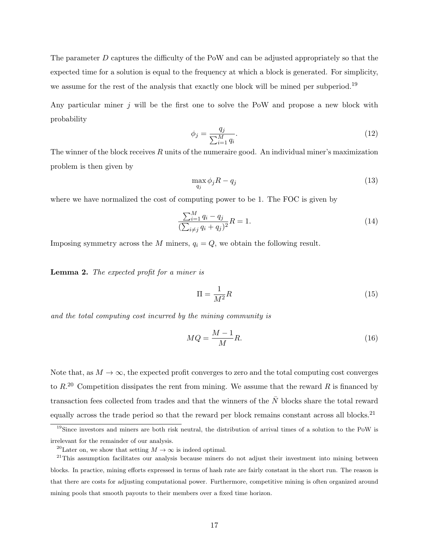The parameter D captures the difficulty of the PoW and can be adjusted appropriately so that the expected time for a solution is equal to the frequency at which a block is generated. For simplicity, we assume for the rest of the analysis that exactly one block will be mined per subperiod.<sup>19</sup>

Any particular miner  $i$  will be the first one to solve the PoW and propose a new block with probability

$$
\phi_j = \frac{q_j}{\sum_{i=1}^M q_i}.\tag{12}
$$

The winner of the block receives  $R$  units of the numeraire good. An individual miner's maximization problem is then given by

$$
\max_{q_j} \phi_j R - q_j \tag{13}
$$

where we have normalized the cost of computing power to be 1. The FOC is given by

$$
\frac{\sum_{i=1}^{M} q_i - q_j}{(\sum_{i \neq j} q_i + q_j)^2} R = 1.
$$
\n(14)

Imposing symmetry across the M miners,  $q_i = Q$ , we obtain the following result.

Lemma 2. The expected profit for a miner is

$$
\Pi = \frac{1}{M^2} R \tag{15}
$$

and the total computing cost incurred by the mining community is

$$
MQ = \frac{M-1}{M}R.\t(16)
$$

Note that, as  $M \to \infty$ , the expected profit converges to zero and the total computing cost converges to  $R<sup>20</sup>$  Competition dissipates the rent from mining. We assume that the reward R is financed by transaction fees collected from trades and that the winners of the  $\bar{N}$  blocks share the total reward equally across the trade period so that the reward per block remains constant across all blocks.<sup>21</sup>

<sup>&</sup>lt;sup>19</sup>Since investors and miners are both risk neutral, the distribution of arrival times of a solution to the PoW is irrelevant for the remainder of our analysis.

<sup>&</sup>lt;sup>20</sup>Later on, we show that setting  $M \to \infty$  is indeed optimal.

<sup>&</sup>lt;sup>21</sup>This assumption facilitates our analysis because miners do not adjust their investment into mining between blocks. In practice, mining efforts expressed in terms of hash rate are fairly constant in the short run. The reason is that there are costs for adjusting computational power. Furthermore, competitive mining is often organized around mining pools that smooth payouts to their members over a fixed time horizon.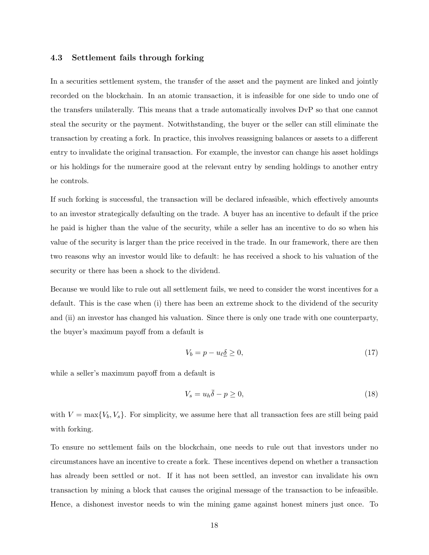#### 4.3 Settlement fails through forking

In a securities settlement system, the transfer of the asset and the payment are linked and jointly recorded on the blockchain. In an atomic transaction, it is infeasible for one side to undo one of the transfers unilaterally. This means that a trade automatically involves DvP so that one cannot steal the security or the payment. Notwithstanding, the buyer or the seller can still eliminate the transaction by creating a fork. In practice, this involves reassigning balances or assets to a different entry to invalidate the original transaction. For example, the investor can change his asset holdings or his holdings for the numeraire good at the relevant entry by sending holdings to another entry he controls.

If such forking is successful, the transaction will be declared infeasible, which effectively amounts to an investor strategically defaulting on the trade. A buyer has an incentive to default if the price he paid is higher than the value of the security, while a seller has an incentive to do so when his value of the security is larger than the price received in the trade. In our framework, there are then two reasons why an investor would like to default: he has received a shock to his valuation of the security or there has been a shock to the dividend.

Because we would like to rule out all settlement fails, we need to consider the worst incentives for a default. This is the case when (i) there has been an extreme shock to the dividend of the security and (ii) an investor has changed his valuation. Since there is only one trade with one counterparty, the buyer's maximum payoff from a default is

$$
V_b = p - u_\ell \underline{\delta} \ge 0,\tag{17}
$$

while a seller's maximum payoff from a default is

$$
V_s = u_h \bar{\delta} - p \ge 0,\tag{18}
$$

with  $V = \max\{V_b, V_s\}$ . For simplicity, we assume here that all transaction fees are still being paid with forking.

To ensure no settlement fails on the blockchain, one needs to rule out that investors under no circumstances have an incentive to create a fork. These incentives depend on whether a transaction has already been settled or not. If it has not been settled, an investor can invalidate his own transaction by mining a block that causes the original message of the transaction to be infeasible. Hence, a dishonest investor needs to win the mining game against honest miners just once. To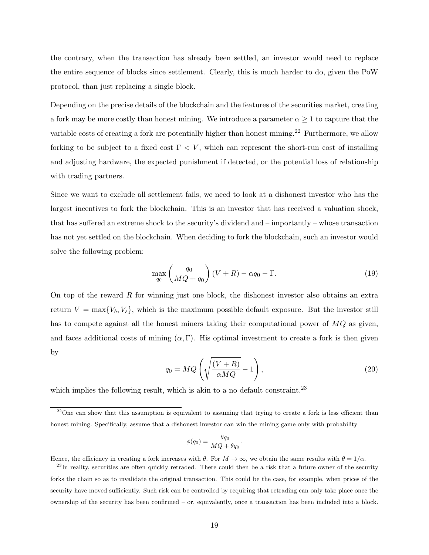the contrary, when the transaction has already been settled, an investor would need to replace the entire sequence of blocks since settlement. Clearly, this is much harder to do, given the PoW protocol, than just replacing a single block.

Depending on the precise details of the blockchain and the features of the securities market, creating a fork may be more costly than honest mining. We introduce a parameter  $\alpha \geq 1$  to capture that the variable costs of creating a fork are potentially higher than honest mining.<sup>22</sup> Furthermore, we allow forking to be subject to a fixed cost  $\Gamma < V$ , which can represent the short-run cost of installing and adjusting hardware, the expected punishment if detected, or the potential loss of relationship with trading partners.

Since we want to exclude all settlement fails, we need to look at a dishonest investor who has the largest incentives to fork the blockchain. This is an investor that has received a valuation shock, that has suffered an extreme shock to the security's dividend and – importantly – whose transaction has not yet settled on the blockchain. When deciding to fork the blockchain, such an investor would solve the following problem:

$$
\max_{q_0} \left( \frac{q_0}{MQ + q_0} \right) (V + R) - \alpha q_0 - \Gamma.
$$
 (19)

On top of the reward R for winning just one block, the dishonest investor also obtains an extra return  $V = \max\{V_b, V_s\}$ , which is the maximum possible default exposure. But the investor still has to compete against all the honest miners taking their computational power of  $MQ$  as given, and faces additional costs of mining  $(\alpha, \Gamma)$ . His optimal investment to create a fork is then given by

$$
q_0 = MQ\left(\sqrt{\frac{(V+R)}{\alpha MQ}} - 1\right),\tag{20}
$$

which implies the following result, which is akin to a no default constraint.<sup>23</sup>

$$
\phi(q_0) = \frac{\theta q_0}{MQ + \theta q_0}.
$$

Hence, the efficiency in creating a fork increases with  $\theta$ . For  $M \to \infty$ , we obtain the same results with  $\theta = 1/\alpha$ .

 $^{23}$ In reality, securities are often quickly retraded. There could then be a risk that a future owner of the security forks the chain so as to invalidate the original transaction. This could be the case, for example, when prices of the security have moved sufficiently. Such risk can be controlled by requiring that retrading can only take place once the ownership of the security has been confirmed – or, equivalently, once a transaction has been included into a block.

 $22$ One can show that this assumption is equivalent to assuming that trying to create a fork is less efficient than honest mining. Specifically, assume that a dishonest investor can win the mining game only with probability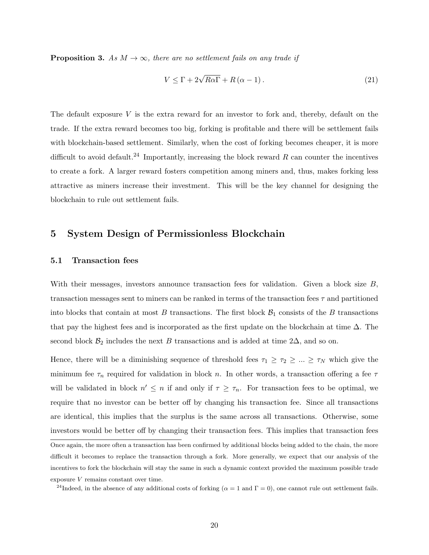**Proposition 3.** As  $M \to \infty$ , there are no settlement fails on any trade if

$$
V \le \Gamma + 2\sqrt{R\alpha\Gamma} + R\left(\alpha - 1\right). \tag{21}
$$

The default exposure V is the extra reward for an investor to fork and, thereby, default on the trade. If the extra reward becomes too big, forking is profitable and there will be settlement fails with blockchain-based settlement. Similarly, when the cost of forking becomes cheaper, it is more difficult to avoid default.<sup>24</sup> Importantly, increasing the block reward R can counter the incentives to create a fork. A larger reward fosters competition among miners and, thus, makes forking less attractive as miners increase their investment. This will be the key channel for designing the blockchain to rule out settlement fails.

## 5 System Design of Permissionless Blockchain

#### 5.1 Transaction fees

With their messages, investors announce transaction fees for validation. Given a block size B, transaction messages sent to miners can be ranked in terms of the transaction fees  $\tau$  and partitioned into blocks that contain at most B transactions. The first block  $\mathcal{B}_1$  consists of the B transactions that pay the highest fees and is incorporated as the first update on the blockchain at time  $\Delta$ . The second block  $\mathcal{B}_2$  includes the next B transactions and is added at time 2 $\Delta$ , and so on.

Hence, there will be a diminishing sequence of threshold fees  $\tau_1 \geq \tau_2 \geq ... \geq \tau_N$  which give the minimum fee  $\tau_n$  required for validation in block n. In other words, a transaction offering a fee  $\tau$ will be validated in block  $n' \leq n$  if and only if  $\tau \geq \tau_n$ . For transaction fees to be optimal, we require that no investor can be better off by changing his transaction fee. Since all transactions are identical, this implies that the surplus is the same across all transactions. Otherwise, some investors would be better off by changing their transaction fees. This implies that transaction fees Once again, the more often a transaction has been confirmed by additional blocks being added to the chain, the more

difficult it becomes to replace the transaction through a fork. More generally, we expect that our analysis of the incentives to fork the blockchain will stay the same in such a dynamic context provided the maximum possible trade exposure V remains constant over time.

<sup>&</sup>lt;sup>24</sup>Indeed, in the absence of any additional costs of forking ( $\alpha = 1$  and  $\Gamma = 0$ ), one cannot rule out settlement fails.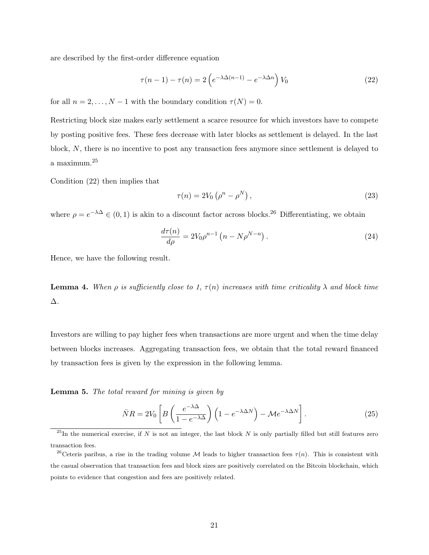are described by the first-order difference equation

$$
\tau(n-1) - \tau(n) = 2\left(e^{-\lambda \Delta(n-1)} - e^{-\lambda \Delta n}\right)V_0
$$
\n(22)

for all  $n = 2, ..., N - 1$  with the boundary condition  $\tau(N) = 0$ .

Restricting block size makes early settlement a scarce resource for which investors have to compete by posting positive fees. These fees decrease with later blocks as settlement is delayed. In the last block, N, there is no incentive to post any transaction fees anymore since settlement is delayed to a maximum.<sup>25</sup>

Condition (22) then implies that

$$
\tau(n) = 2V_0 \left(\rho^n - \rho^N\right),\tag{23}
$$

where  $\rho = e^{-\lambda \Delta} \in (0, 1)$  is akin to a discount factor across blocks.<sup>26</sup> Differentiating, we obtain

$$
\frac{d\tau(n)}{d\rho} = 2V_0\rho^{n-1}\left(n - N\rho^{N-n}\right). \tag{24}
$$

Hence, we have the following result.

**Lemma 4.** When  $\rho$  is sufficiently close to 1,  $\tau(n)$  increases with time criticality  $\lambda$  and block time ∆.

Investors are willing to pay higher fees when transactions are more urgent and when the time delay between blocks increases. Aggregating transaction fees, we obtain that the total reward financed by transaction fees is given by the expression in the following lemma.

Lemma 5. The total reward for mining is given by

$$
\bar{N}R = 2V_0 \left[ B \left( \frac{e^{-\lambda \Delta}}{1 - e^{-\lambda \Delta}} \right) \left( 1 - e^{-\lambda \Delta N} \right) - \mathcal{M} e^{-\lambda \Delta N} \right].
$$
\n(25)

<sup>&</sup>lt;sup>25</sup>In the numerical exercise, if N is not an integer, the last block N is only partially filled but still features zero transaction fees.

<sup>&</sup>lt;sup>26</sup>Ceteris paribus, a rise in the trading volume M leads to higher transaction fees  $\tau(n)$ . This is consistent with the casual observation that transaction fees and block sizes are positively correlated on the Bitcoin blockchain, which points to evidence that congestion and fees are positively related.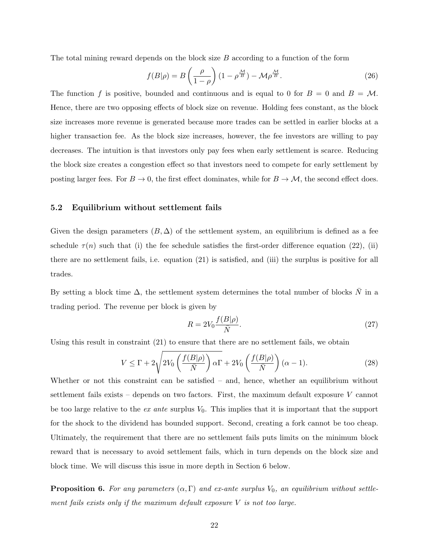The total mining reward depends on the block size  $B$  according to a function of the form

$$
f(B|\rho) = B\left(\frac{\rho}{1-\rho}\right)(1-\rho^{\frac{\mathcal{M}}{B}}) - \mathcal{M}\rho^{\frac{\mathcal{M}}{B}}.
$$
\n(26)

The function f is positive, bounded and continuous and is equal to 0 for  $B = 0$  and  $B = M$ . Hence, there are two opposing effects of block size on revenue. Holding fees constant, as the block size increases more revenue is generated because more trades can be settled in earlier blocks at a higher transaction fee. As the block size increases, however, the fee investors are willing to pay decreases. The intuition is that investors only pay fees when early settlement is scarce. Reducing the block size creates a congestion effect so that investors need to compete for early settlement by posting larger fees. For  $B \to 0$ , the first effect dominates, while for  $B \to \mathcal{M}$ , the second effect does.

#### 5.2 Equilibrium without settlement fails

Given the design parameters  $(B, \Delta)$  of the settlement system, an equilibrium is defined as a fee schedule  $\tau(n)$  such that (i) the fee schedule satisfies the first-order difference equation (22), (ii) there are no settlement fails, i.e. equation (21) is satisfied, and (iii) the surplus is positive for all trades.

By setting a block time  $\Delta$ , the settlement system determines the total number of blocks  $\bar{N}$  in a trading period. The revenue per block is given by

$$
R = 2V_0 \frac{f(B|\rho)}{\bar{N}}.\tag{27}
$$

Using this result in constraint (21) to ensure that there are no settlement fails, we obtain

$$
V \le \Gamma + 2\sqrt{2V_0 \left(\frac{f(B|\rho)}{\bar{N}}\right) \alpha \Gamma} + 2V_0 \left(\frac{f(B|\rho)}{\bar{N}}\right) (\alpha - 1). \tag{28}
$$

Whether or not this constraint can be satisfied – and, hence, whether an equilibrium without settlement fails exists – depends on two factors. First, the maximum default exposure V cannot be too large relative to the ex ante surplus  $V_0$ . This implies that it is important that the support for the shock to the dividend has bounded support. Second, creating a fork cannot be too cheap. Ultimately, the requirement that there are no settlement fails puts limits on the minimum block reward that is necessary to avoid settlement fails, which in turn depends on the block size and block time. We will discuss this issue in more depth in Section 6 below.

**Proposition 6.** For any parameters  $(\alpha, \Gamma)$  and ex-ante surplus  $V_0$ , an equilibrium without settlement fails exists only if the maximum default exposure V is not too large.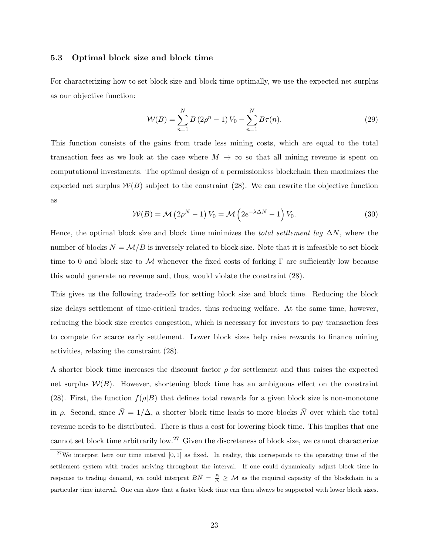#### 5.3 Optimal block size and block time

For characterizing how to set block size and block time optimally, we use the expected net surplus as our objective function:

$$
W(B) = \sum_{n=1}^{N} B(2\rho^{n} - 1) V_0 - \sum_{n=1}^{N} B\tau(n).
$$
 (29)

This function consists of the gains from trade less mining costs, which are equal to the total transaction fees as we look at the case where  $M \to \infty$  so that all mining revenue is spent on computational investments. The optimal design of a permissionless blockchain then maximizes the expected net surplus  $\mathcal{W}(B)$  subject to the constraint (28). We can rewrite the objective function as

$$
W(B) = \mathcal{M} \left( 2\rho^N - 1 \right) V_0 = \mathcal{M} \left( 2e^{-\lambda \Delta N} - 1 \right) V_0.
$$
 (30)

Hence, the optimal block size and block time minimizes the *total settlement lag*  $\Delta N$ , where the number of blocks  $N = \mathcal{M}/B$  is inversely related to block size. Note that it is infeasible to set block time to 0 and block size to  $M$  whenever the fixed costs of forking  $\Gamma$  are sufficiently low because this would generate no revenue and, thus, would violate the constraint (28).

This gives us the following trade-offs for setting block size and block time. Reducing the block size delays settlement of time-critical trades, thus reducing welfare. At the same time, however, reducing the block size creates congestion, which is necessary for investors to pay transaction fees to compete for scarce early settlement. Lower block sizes help raise rewards to finance mining activities, relaxing the constraint (28).

A shorter block time increases the discount factor  $\rho$  for settlement and thus raises the expected net surplus  $W(B)$ . However, shortening block time has an ambiguous effect on the constraint (28). First, the function  $f(\rho|B)$  that defines total rewards for a given block size is non-monotone in  $\rho$ . Second, since  $\bar{N} = 1/\Delta$ , a shorter block time leads to more blocks  $\bar{N}$  over which the total revenue needs to be distributed. There is thus a cost for lowering block time. This implies that one cannot set block time arbitrarily low.<sup>27</sup> Given the discreteness of block size, we cannot characterize

 $27$ We interpret here our time interval [0, 1] as fixed. In reality, this corresponds to the operating time of the settlement system with trades arriving throughout the interval. If one could dynamically adjust block time in response to trading demand, we could interpret  $B\overline{N} = \frac{B}{\Delta} \geq M$  as the required capacity of the blockchain in a particular time interval. One can show that a faster block time can then always be supported with lower block sizes.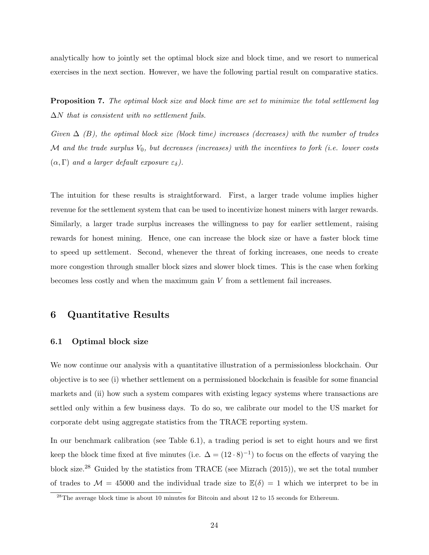analytically how to jointly set the optimal block size and block time, and we resort to numerical exercises in the next section. However, we have the following partial result on comparative statics.

**Proposition 7.** The optimal block size and block time are set to minimize the total settlement lag  $\Delta N$  that is consistent with no settlement fails.

Given  $\Delta$  (B), the optimal block size (block time) increases (decreases) with the number of trades M and the trade surplus  $V_0$ , but decreases (increases) with the incentives to fork (i.e. lower costs  $(\alpha, \Gamma)$  and a larger default exposure  $\varepsilon_{\delta}$ ).

The intuition for these results is straightforward. First, a larger trade volume implies higher revenue for the settlement system that can be used to incentivize honest miners with larger rewards. Similarly, a larger trade surplus increases the willingness to pay for earlier settlement, raising rewards for honest mining. Hence, one can increase the block size or have a faster block time to speed up settlement. Second, whenever the threat of forking increases, one needs to create more congestion through smaller block sizes and slower block times. This is the case when forking becomes less costly and when the maximum gain  $V$  from a settlement fail increases.

## 6 Quantitative Results

#### 6.1 Optimal block size

We now continue our analysis with a quantitative illustration of a permissionless blockchain. Our objective is to see (i) whether settlement on a permissioned blockchain is feasible for some financial markets and (ii) how such a system compares with existing legacy systems where transactions are settled only within a few business days. To do so, we calibrate our model to the US market for corporate debt using aggregate statistics from the TRACE reporting system.

In our benchmark calibration (see Table 6.1), a trading period is set to eight hours and we first keep the block time fixed at five minutes (i.e.  $\Delta = (12 \cdot 8)^{-1}$ ) to focus on the effects of varying the block size.<sup>28</sup> Guided by the statistics from TRACE (see Mizrach (2015)), we set the total number of trades to  $\mathcal{M} = 45000$  and the individual trade size to  $\mathbb{E}(\delta) = 1$  which we interpret to be in

 $^{28}$ The average block time is about 10 minutes for Bitcoin and about 12 to 15 seconds for Ethereum.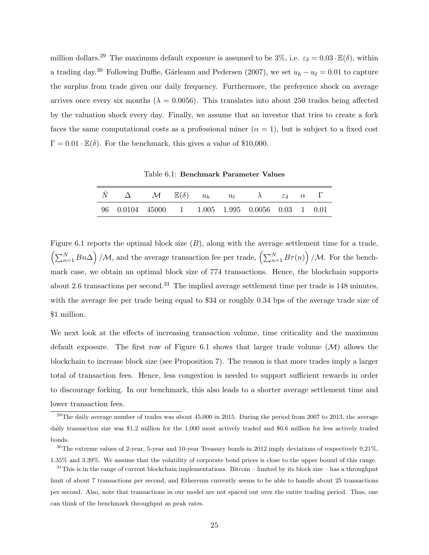million dollars.<sup>29</sup> The maximum default exposure is assumed to be 3%, i.e.  $\varepsilon_{\delta} = 0.03 \cdot \mathbb{E}(\delta)$ , within a trading day.<sup>30</sup> Following Duffie, Gârleanu and Pedersen (2007), we set  $u_h - u_\ell = 0.01$  to capture the surplus from trade given our daily frequency. Furthermore, the preference shock on average arrives once every six months ( $\lambda = 0.0056$ ). This translates into about 250 trades being affected by the valuation shock every day. Finally, we assume that an investor that tries to create a fork faces the same computational costs as a professional miner  $(\alpha = 1)$ , but is subject to a fixed cost  $\Gamma = 0.01 \cdot \mathbb{E}(\delta)$ . For the benchmark, this gives a value of \$10,000.

Table 6.1: Benchmark Parameter Values

|                                                           |  | $\mathcal{M} \qquad \mathbb{E}(\delta) \qquad u_h \qquad u_{\ell}$ | $\lambda$ $\varepsilon_{\delta}$ $\alpha$ $\Gamma$ |  |  |
|-----------------------------------------------------------|--|--------------------------------------------------------------------|----------------------------------------------------|--|--|
| 96  0.0104  45000  1  1.005  1.995  0.0056  0.03  1  0.01 |  |                                                                    |                                                    |  |  |

Figure 6.1 reports the optimal block size  $(B)$ , along with the average settlement time for a trade,  $\left(\sum_{n=1}^{N} B_n \Delta\right)/\mathcal{M}$ , and the average transaction fee per trade,  $\left(\sum_{n=1}^{N} B_{\tau}(n)\right)/\mathcal{M}$ . For the benchmark case, we obtain an optimal block size of 774 transactions. Hence, the blockchain supports about 2.6 transactions per second.<sup>31</sup> The implied average settlement time per trade is 148 minutes, with the average fee per trade being equal to \$34 or roughly 0.34 bps of the average trade size of \$1 million.

We next look at the effects of increasing transaction volume, time criticality and the maximum default exposure. The first row of Figure 6.1 shows that larger trade volume  $(\mathcal{M})$  allows the blockchain to increase block size (see Proposition 7). The reason is that more trades imply a larger total of transaction fees. Hence, less congestion is needed to support sufficient rewards in order to discourage forking. In our benchmark, this also leads to a shorter average settlement time and lower transaction fees.

<sup>&</sup>lt;sup>29</sup>The daily average number of trades was about  $45,000$  in 2015. During the period from 2007 to 2013, the average daily transaction size was \$1.2 million for the 1,000 most actively traded and \$0.6 million for less actively traded bonds.

 $30$ The extreme values of 2-year, 5-year and 10-year Treasury bonds in 2012 imply deviations of respectively 0.21%, 1.35% and 3.39%. We assume that the volatility of corporate bond prices is close to the upper bound of this range.

 $31$ This is in the range of current blockchain implementations. Bitcoin – limited by its block size – has a throughput limit of about 7 transactions per second, and Ethereum currently seems to be able to handle about 25 transactions per second. Also, note that transactions in our model are not spaced out over the entire trading period. Thus, one can think of the benchmark throughput as peak rates.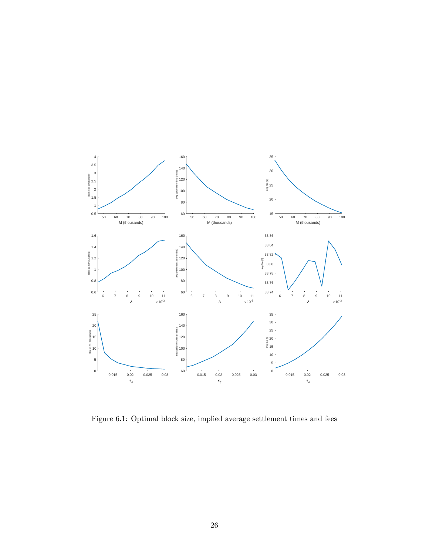

Figure 6.1: Optimal block size, implied average settlement times and fees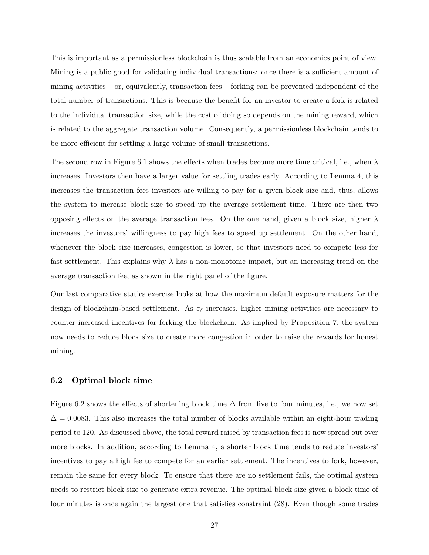This is important as a permissionless blockchain is thus scalable from an economics point of view. Mining is a public good for validating individual transactions: once there is a sufficient amount of mining activities – or, equivalently, transaction fees – forking can be prevented independent of the total number of transactions. This is because the benefit for an investor to create a fork is related to the individual transaction size, while the cost of doing so depends on the mining reward, which is related to the aggregate transaction volume. Consequently, a permissionless blockchain tends to be more efficient for settling a large volume of small transactions.

The second row in Figure 6.1 shows the effects when trades become more time critical, i.e., when  $\lambda$ increases. Investors then have a larger value for settling trades early. According to Lemma 4, this increases the transaction fees investors are willing to pay for a given block size and, thus, allows the system to increase block size to speed up the average settlement time. There are then two opposing effects on the average transaction fees. On the one hand, given a block size, higher  $\lambda$ increases the investors' willingness to pay high fees to speed up settlement. On the other hand, whenever the block size increases, congestion is lower, so that investors need to compete less for fast settlement. This explains why  $\lambda$  has a non-monotonic impact, but an increasing trend on the average transaction fee, as shown in the right panel of the figure.

Our last comparative statics exercise looks at how the maximum default exposure matters for the design of blockchain-based settlement. As  $\varepsilon_{\delta}$  increases, higher mining activities are necessary to counter increased incentives for forking the blockchain. As implied by Proposition 7, the system now needs to reduce block size to create more congestion in order to raise the rewards for honest mining.

#### 6.2 Optimal block time

Figure 6.2 shows the effects of shortening block time  $\Delta$  from five to four minutes, i.e., we now set  $\Delta = 0.0083$ . This also increases the total number of blocks available within an eight-hour trading period to 120. As discussed above, the total reward raised by transaction fees is now spread out over more blocks. In addition, according to Lemma 4, a shorter block time tends to reduce investors' incentives to pay a high fee to compete for an earlier settlement. The incentives to fork, however, remain the same for every block. To ensure that there are no settlement fails, the optimal system needs to restrict block size to generate extra revenue. The optimal block size given a block time of four minutes is once again the largest one that satisfies constraint (28). Even though some trades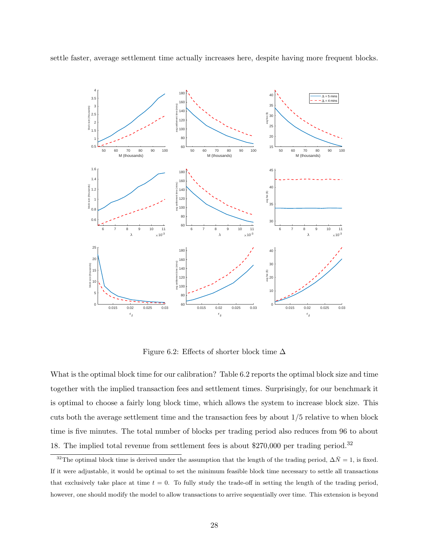settle faster, average settlement time actually increases here, despite having more frequent blocks.



Figure 6.2: Effects of shorter block time  $\Delta$ 

What is the optimal block time for our calibration? Table 6.2 reports the optimal block size and time together with the implied transaction fees and settlement times. Surprisingly, for our benchmark it is optimal to choose a fairly long block time, which allows the system to increase block size. This cuts both the average settlement time and the transaction fees by about  $1/5$  relative to when block time is five minutes. The total number of blocks per trading period also reduces from 96 to about 18. The implied total revenue from settlement fees is about \$270,000 per trading period.<sup>32</sup>

<sup>&</sup>lt;sup>32</sup>The optimal block time is derived under the assumption that the length of the trading period,  $\Delta \bar{N} = 1$ , is fixed. If it were adjustable, it would be optimal to set the minimum feasible block time necessary to settle all transactions that exclusively take place at time  $t = 0$ . To fully study the trade-off in setting the length of the trading period, however, one should modify the model to allow transactions to arrive sequentially over time. This extension is beyond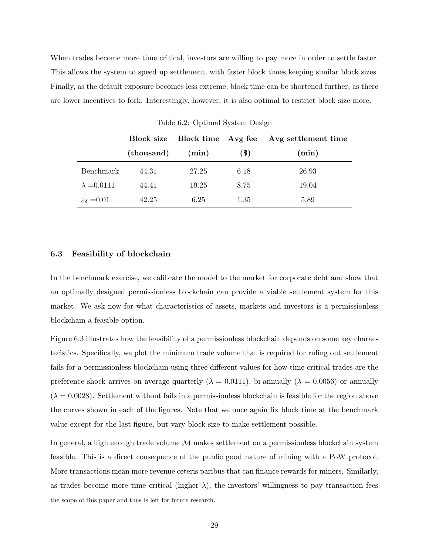When trades become more time critical, investors are willing to pay more in order to settle faster. This allows the system to speed up settlement, with faster block times keeping similar block sizes. Finally, as the default exposure becomes less extreme, block time can be shortened further, as there are lower incentives to fork. Interestingly, however, it is also optimal to restrict block size more.

|                               | <b>Block size</b> | Block time Avg fee |                               | Avg settlement time |
|-------------------------------|-------------------|--------------------|-------------------------------|---------------------|
|                               | (thousand)        | (min)              | $\left( \, \text{\$} \right)$ | $(\min)$            |
| <b>Benchmark</b>              | 44.31             | 27.25              | 6.18                          | 26.93               |
| $\lambda = 0.0111$            | 44.41             | 19.25              | 8.75                          | 19.04               |
| $\varepsilon_{\delta} = 0.01$ | 42.25             | 6.25               | 1.35                          | 5.89                |

Table 6.2: Optimal System Design

#### 6.3 Feasibility of blockchain

In the benchmark exercise, we calibrate the model to the market for corporate debt and show that an optimally designed permissionless blockchain can provide a viable settlement system for this market. We ask now for what characteristics of assets, markets and investors is a permissionless blockchain a feasible option.

Figure 6.3 illustrates how the feasibility of a permissionless blockchain depends on some key characteristics. Specifically, we plot the minimum trade volume that is required for ruling out settlement fails for a permissionless blockchain using three different values for how time critical trades are the preference shock arrives on average quarterly ( $\lambda = 0.0111$ ), bi-annually ( $\lambda = 0.0056$ ) or annually  $(\lambda = 0.0028)$ . Settlement without fails in a permissionless blockchain is feasible for the region above the curves shown in each of the figures. Note that we once again fix block time at the benchmark value except for the last figure, but vary block size to make settlement possible.

In general, a high enough trade volume  $\mathcal M$  makes settlement on a permissionless blockchain system feasible. This is a direct consequence of the public good nature of mining with a PoW protocol. More transactions mean more revenue ceteris paribus that can finance rewards for miners. Similarly, as trades become more time critical (higher  $\lambda$ ), the investors' willingness to pay transaction fees

the scope of this paper and thus is left for future research.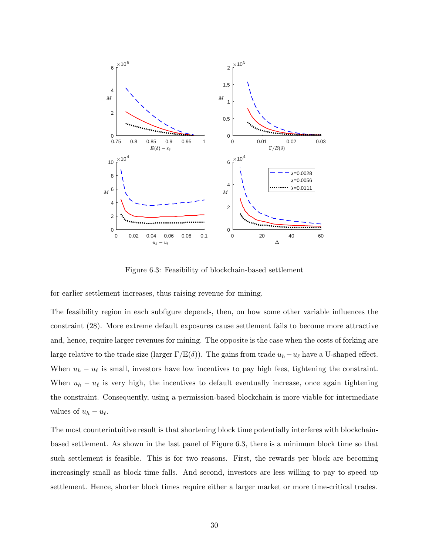

Figure 6.3: Feasibility of blockchain-based settlement

for earlier settlement increases, thus raising revenue for mining.

The feasibility region in each subfigure depends, then, on how some other variable influences the constraint (28). More extreme default exposures cause settlement fails to become more attractive and, hence, require larger revenues for mining. The opposite is the case when the costs of forking are large relative to the trade size (larger  $\Gamma/\mathbb{E}(\delta)$ ). The gains from trade  $u_h-u_\ell$  have a U-shaped effect. When  $u_h - u_\ell$  is small, investors have low incentives to pay high fees, tightening the constraint. When  $u_h - u_\ell$  is very high, the incentives to default eventually increase, once again tightening the constraint. Consequently, using a permission-based blockchain is more viable for intermediate values of  $u_h - u_\ell$ .

The most counterintuitive result is that shortening block time potentially interferes with blockchainbased settlement. As shown in the last panel of Figure 6.3, there is a minimum block time so that such settlement is feasible. This is for two reasons. First, the rewards per block are becoming increasingly small as block time falls. And second, investors are less willing to pay to speed up settlement. Hence, shorter block times require either a larger market or more time-critical trades.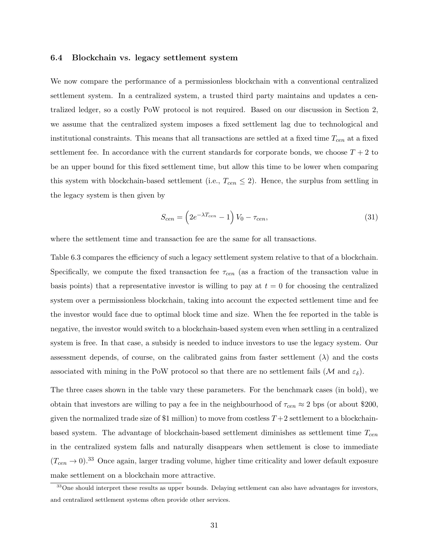#### 6.4 Blockchain vs. legacy settlement system

We now compare the performance of a permissionless blockchain with a conventional centralized settlement system. In a centralized system, a trusted third party maintains and updates a centralized ledger, so a costly PoW protocol is not required. Based on our discussion in Section 2, we assume that the centralized system imposes a fixed settlement lag due to technological and institutional constraints. This means that all transactions are settled at a fixed time  $T_{cen}$  at a fixed settlement fee. In accordance with the current standards for corporate bonds, we choose  $T + 2$  to be an upper bound for this fixed settlement time, but allow this time to be lower when comparing this system with blockchain-based settlement (i.e.,  $T_{cen} \leq 2$ ). Hence, the surplus from settling in the legacy system is then given by

$$
S_{cen} = \left(2e^{-\lambda T_{cen}} - 1\right) V_0 - \tau_{cen},\tag{31}
$$

where the settlement time and transaction fee are the same for all transactions.

Table 6.3 compares the efficiency of such a legacy settlement system relative to that of a blockchain. Specifically, we compute the fixed transaction fee  $\tau_{cen}$  (as a fraction of the transaction value in basis points) that a representative investor is willing to pay at  $t = 0$  for choosing the centralized system over a permissionless blockchain, taking into account the expected settlement time and fee the investor would face due to optimal block time and size. When the fee reported in the table is negative, the investor would switch to a blockchain-based system even when settling in a centralized system is free. In that case, a subsidy is needed to induce investors to use the legacy system. Our assessment depends, of course, on the calibrated gains from faster settlement  $(\lambda)$  and the costs associated with mining in the PoW protocol so that there are no settlement fails  $(M \text{ and } \varepsilon_{\delta})$ .

The three cases shown in the table vary these parameters. For the benchmark cases (in bold), we obtain that investors are willing to pay a fee in the neighbourhood of  $\tau_{cen} \approx 2$  bps (or about \$200, given the normalized trade size of \$1 million) to move from costless  $T+2$  settlement to a blockchainbased system. The advantage of blockchain-based settlement diminishes as settlement time  $T_{cen}$ in the centralized system falls and naturally disappears when settlement is close to immediate  $(T_{cen} \rightarrow 0)^{33}$  Once again, larger trading volume, higher time criticality and lower default exposure make settlement on a blockchain more attractive.

<sup>&</sup>lt;sup>33</sup>One should interpret these results as upper bounds. Delaying settlement can also have advantages for investors, and centralized settlement systems often provide other services.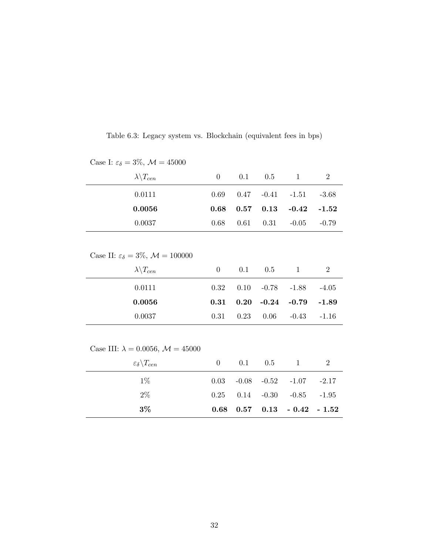Table 6.3: Legacy system vs. Blockchain (equivalent fees in bps)

```
Case I: \varepsilon_\delta=3\%,\,\mathcal{M}=45000
```

| $\lambda \backslash T_{cen}$ |  | $0 \t 0.1 \t 0.5 \t 1$ |                                       |  |
|------------------------------|--|------------------------|---------------------------------------|--|
| 0.0111                       |  |                        | $0.69$ $0.47$ $-0.41$ $-1.51$ $-3.68$ |  |
| 0.0056                       |  |                        | $0.68$ $0.57$ $0.13$ $-0.42$ $-1.52$  |  |
| 0.0037                       |  |                        | $0.68$ $0.61$ $0.31$ $-0.05$ $-0.79$  |  |

Case II:  $\varepsilon_\delta = 3\%,\, \mathcal{M}=100000$ 

| $\lambda \backslash T_{cen}$ |  | $0 \t 0.1 \t 0.5 \t 1$                |  |
|------------------------------|--|---------------------------------------|--|
| 0.0111                       |  | $0.32$ $0.10$ $-0.78$ $-1.88$ $-4.05$ |  |
| 0.0056                       |  | $0.31$ $0.20$ $-0.24$ $-0.79$ $-1.89$ |  |
| 0.0037                       |  | $0.31$ $0.23$ $0.06$ $-0.43$ $-1.16$  |  |

Case III:  $\lambda=0.0056,\,\mathcal{M}=45000$ 

| $\varepsilon_{\delta} \backslash T_{cen}$ |  | $0 \t 0.1 \t 0.5 \t 1 \t 2$           |  |
|-------------------------------------------|--|---------------------------------------|--|
| $1\%$                                     |  | $0.03 -0.08 -0.52 -1.07 -2.17$        |  |
| $2\%$                                     |  | $0.25$ $0.14$ $-0.30$ $-0.85$ $-1.95$ |  |
| $3\%$                                     |  | $0.68$ $0.57$ $0.13$ $-0.42$ $-1.52$  |  |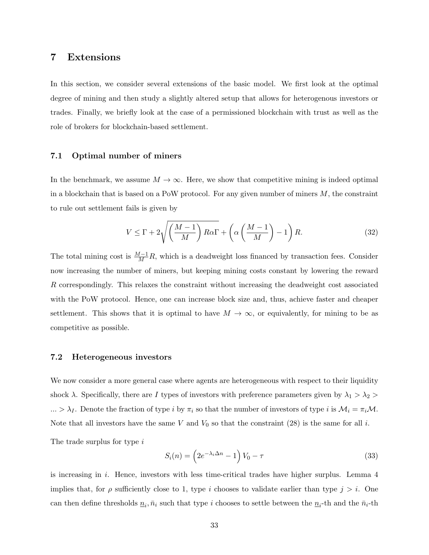# 7 Extensions

In this section, we consider several extensions of the basic model. We first look at the optimal degree of mining and then study a slightly altered setup that allows for heterogenous investors or trades. Finally, we briefly look at the case of a permissioned blockchain with trust as well as the role of brokers for blockchain-based settlement.

#### 7.1 Optimal number of miners

In the benchmark, we assume  $M \to \infty$ . Here, we show that competitive mining is indeed optimal in a blockchain that is based on a PoW protocol. For any given number of miners  $M$ , the constraint to rule out settlement fails is given by

$$
V \le \Gamma + 2\sqrt{\left(\frac{M-1}{M}\right)R\alpha\Gamma} + \left(\alpha\left(\frac{M-1}{M}\right) - 1\right)R.\tag{32}
$$

The total mining cost is  $\frac{M-1}{M}R$ , which is a deadweight loss financed by transaction fees. Consider now increasing the number of miners, but keeping mining costs constant by lowering the reward R correspondingly. This relaxes the constraint without increasing the deadweight cost associated with the PoW protocol. Hence, one can increase block size and, thus, achieve faster and cheaper settlement. This shows that it is optimal to have  $M \to \infty$ , or equivalently, for mining to be as competitive as possible.

#### 7.2 Heterogeneous investors

We now consider a more general case where agents are heterogeneous with respect to their liquidity shock  $\lambda$ . Specifically, there are I types of investors with preference parameters given by  $\lambda_1 > \lambda_2$ ... >  $\lambda_I$ . Denote the fraction of type i by  $\pi_i$  so that the number of investors of type i is  $\mathcal{M}_i = \pi_i \mathcal{M}$ . Note that all investors have the same V and  $V_0$  so that the constraint (28) is the same for all i.

The trade surplus for type i

$$
S_i(n) = \left(2e^{-\lambda_i \Delta n} - 1\right) V_0 - \tau \tag{33}
$$

is increasing in i. Hence, investors with less time-critical trades have higher surplus. Lemma  $4$ implies that, for  $\rho$  sufficiently close to 1, type i chooses to validate earlier than type  $j > i$ . One can then define thresholds  $\underline{n}_i$ ,  $\bar{n}_i$  such that type i chooses to settle between the  $\underline{n}_i$ -th and the  $\bar{n}_i$ -th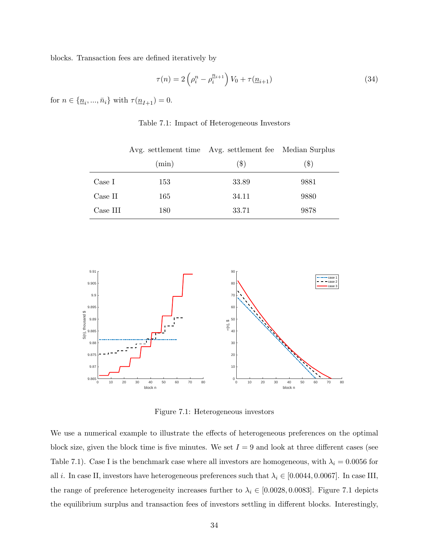blocks. Transaction fees are defined iteratively by

$$
\tau(n) = 2\left(\rho_i^n - \rho_i^{n_{i+1}}\right) V_0 + \tau(\underline{n}_{i+1})
$$
\n(34)

for  $n \in {\{\underline{n}_i, ..., \bar{n}_i\}}$  with  $\tau({\underline{n}}_{I+1}) = 0$ .

|          | Avg. settlement time Avg. settlement fee Median Surplus |        |        |
|----------|---------------------------------------------------------|--------|--------|
|          | $(\min)$                                                | $(\$)$ | $(\$)$ |
| Case I   | 153                                                     | 33.89  | 9881   |
| Case II  | 165                                                     | 34.11  | 9880   |
| Case III | 180                                                     | 33.71  | 9878   |

Table 7.1: Impact of Heterogeneous Investors



Figure 7.1: Heterogeneous investors

We use a numerical example to illustrate the effects of heterogeneous preferences on the optimal block size, given the block time is five minutes. We set  $I = 9$  and look at three different cases (see Table 7.1). Case I is the benchmark case where all investors are homogeneous, with  $\lambda_i = 0.0056$  for all *i*. In case II, investors have heterogeneous preferences such that  $\lambda_i \in [0.0044, 0.0067]$ . In case III, the range of preference heterogeneity increases further to  $\lambda_i \in [0.0028, 0.0083]$ . Figure 7.1 depicts the equilibrium surplus and transaction fees of investors settling in different blocks. Interestingly,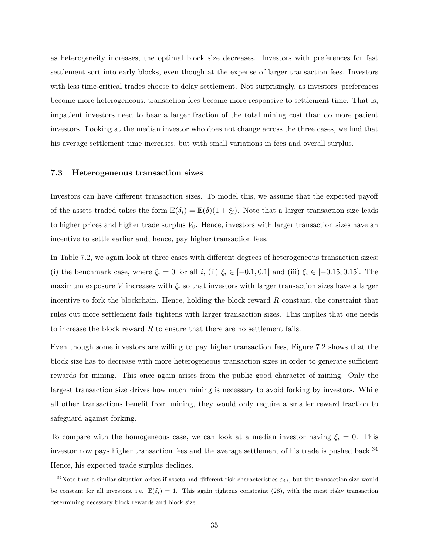as heterogeneity increases, the optimal block size decreases. Investors with preferences for fast settlement sort into early blocks, even though at the expense of larger transaction fees. Investors with less time-critical trades choose to delay settlement. Not surprisingly, as investors' preferences become more heterogeneous, transaction fees become more responsive to settlement time. That is, impatient investors need to bear a larger fraction of the total mining cost than do more patient investors. Looking at the median investor who does not change across the three cases, we find that his average settlement time increases, but with small variations in fees and overall surplus.

#### 7.3 Heterogeneous transaction sizes

Investors can have different transaction sizes. To model this, we assume that the expected payoff of the assets traded takes the form  $\mathbb{E}(\delta_i) = \mathbb{E}(\delta)(1+\xi_i)$ . Note that a larger transaction size leads to higher prices and higher trade surplus  $V_0$ . Hence, investors with larger transaction sizes have an incentive to settle earlier and, hence, pay higher transaction fees.

In Table 7.2, we again look at three cases with different degrees of heterogeneous transaction sizes: (i) the benchmark case, where  $\xi_i = 0$  for all i, (ii)  $\xi_i \in [-0.1, 0.1]$  and (iii)  $\xi_i \in [-0.15, 0.15]$ . The maximum exposure V increases with  $\xi_i$  so that investors with larger transaction sizes have a larger incentive to fork the blockchain. Hence, holding the block reward  $R$  constant, the constraint that rules out more settlement fails tightens with larger transaction sizes. This implies that one needs to increase the block reward  $R$  to ensure that there are no settlement fails.

Even though some investors are willing to pay higher transaction fees, Figure 7.2 shows that the block size has to decrease with more heterogeneous transaction sizes in order to generate sufficient rewards for mining. This once again arises from the public good character of mining. Only the largest transaction size drives how much mining is necessary to avoid forking by investors. While all other transactions benefit from mining, they would only require a smaller reward fraction to safeguard against forking.

To compare with the homogeneous case, we can look at a median investor having  $\xi_i = 0$ . This investor now pays higher transaction fees and the average settlement of his trade is pushed back.<sup>34</sup> Hence, his expected trade surplus declines.

<sup>&</sup>lt;sup>34</sup>Note that a similar situation arises if assets had different risk characteristics  $\varepsilon_{\delta,i}$ , but the transaction size would be constant for all investors, i.e.  $\mathbb{E}(\delta_i) = 1$ . This again tightens constraint (28), with the most risky transaction determining necessary block rewards and block size.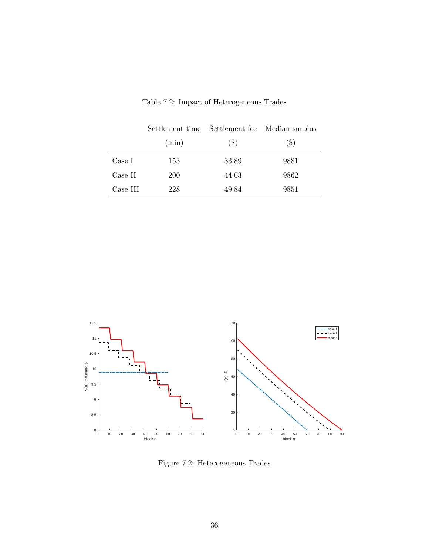|          | Settlement time Settlement fee Median surplus |         |        |
|----------|-----------------------------------------------|---------|--------|
|          | (min)                                         | $($ \$) | $(\$)$ |
| Case I   | 153                                           | 33.89   | 9881   |
| Case II  | <b>200</b>                                    | 44.03   | 9862   |
| Case III | 228                                           | 49.84   | 9851   |

Table 7.2: Impact of Heterogeneous Trades



Figure 7.2: Heterogeneous Trades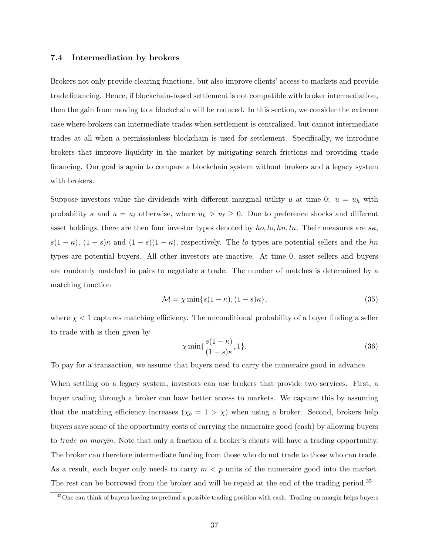#### 7.4 Intermediation by brokers

Brokers not only provide clearing functions, but also improve clients' access to markets and provide trade financing. Hence, if blockchain-based settlement is not compatible with broker intermediation, then the gain from moving to a blockchain will be reduced. In this section, we consider the extreme case where brokers can intermediate trades when settlement is centralized, but cannot intermediate trades at all when a permissionless blockchain is used for settlement. Specifically, we introduce brokers that improve liquidity in the market by mitigating search frictions and providing trade financing. Our goal is again to compare a blockchain system without brokers and a legacy system with brokers.

Suppose investors value the dividends with different marginal utility u at time 0:  $u = u_h$  with probability  $\kappa$  and  $u = u_\ell$  otherwise, where  $u_h > u_\ell \geq 0$ . Due to preference shocks and different asset holdings, there are then four investor types denoted by  $ho$ ,  $lo$ ,  $hn$ ,  $ln$ . Their measures are  $s\kappa$ ,  $s(1 - \kappa)$ ,  $(1 - s)\kappa$  and  $(1 - s)(1 - \kappa)$ , respectively. The lo types are potential sellers and the hn types are potential buyers. All other investors are inactive. At time 0, asset sellers and buyers are randomly matched in pairs to negotiate a trade. The number of matches is determined by a matching function

$$
\mathcal{M} = \chi \min\{s(1 - \kappa), (1 - s)\kappa\},\tag{35}
$$

where  $\chi$  < 1 captures matching efficiency. The unconditional probability of a buyer finding a seller to trade with is then given by

$$
\chi \min\{\frac{s(1-\kappa)}{(1-s)\kappa}, 1\}.
$$
\n(36)

To pay for a transaction, we assume that buyers need to carry the numeraire good in advance.

When settling on a legacy system, investors can use brokers that provide two services. First, a buyer trading through a broker can have better access to markets. We capture this by assuming that the matching efficiency increases  $(\chi_b = 1 > \chi)$  when using a broker. Second, brokers help buyers save some of the opportunity costs of carrying the numeraire good (cash) by allowing buyers to trade on margin. Note that only a fraction of a broker's clients will have a trading opportunity. The broker can therefore intermediate funding from those who do not trade to those who can trade. As a result, each buyer only needs to carry  $m < p$  units of the numeraire good into the market. The rest can be borrowed from the broker and will be repaid at the end of the trading period.<sup>35</sup>

<sup>35</sup>One can think of buyers having to prefund a possible trading position with cash. Trading on margin helps buyers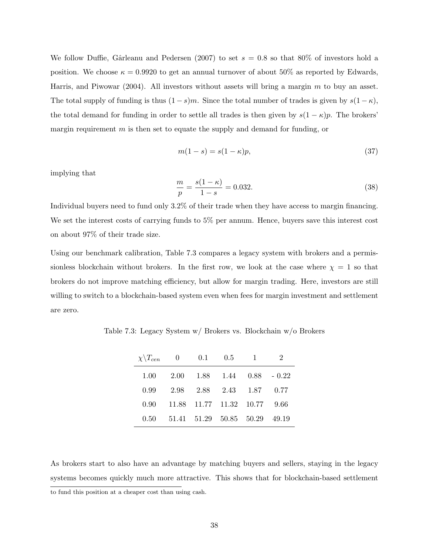We follow Duffie, Gârleanu and Pedersen (2007) to set  $s = 0.8$  so that 80% of investors hold a position. We choose  $\kappa = 0.9920$  to get an annual turnover of about 50% as reported by Edwards, Harris, and Piwowar (2004). All investors without assets will bring a margin m to buy an asset. The total supply of funding is thus  $(1 - s)m$ . Since the total number of trades is given by  $s(1 - \kappa)$ , the total demand for funding in order to settle all trades is then given by  $s(1 - \kappa)p$ . The brokers' margin requirement  $m$  is then set to equate the supply and demand for funding, or

$$
m(1-s) = s(1-\kappa)p,\t\t(37)
$$

implying that

$$
\frac{m}{p} = \frac{s(1 - \kappa)}{1 - s} = 0.032.
$$
\n(38)

Individual buyers need to fund only 3.2% of their trade when they have access to margin financing. We set the interest costs of carrying funds to 5% per annum. Hence, buyers save this interest cost on about 97% of their trade size.

Using our benchmark calibration, Table 7.3 compares a legacy system with brokers and a permissionless blockchain without brokers. In the first row, we look at the case where  $\chi = 1$  so that brokers do not improve matching efficiency, but allow for margin trading. Here, investors are still willing to switch to a blockchain-based system even when fees for margin investment and settlement are zero.

Table 7.3: Legacy System w/ Brokers vs. Blockchain w/o Brokers

| $\chi \backslash T_{cen}$ 0 0.1 0.5 1 2 |                                     |  |  |
|-----------------------------------------|-------------------------------------|--|--|
| $1.00\,$                                | $2.00$ $1.88$ $1.44$ $0.88$ $-0.22$ |  |  |
| 0.99                                    | 2.98 2.88 2.43 1.87 0.77            |  |  |
|                                         | 0.90 11.88 11.77 11.32 10.77 9.66   |  |  |
|                                         | 0.50 51.41 51.29 50.85 50.29 49.19  |  |  |

As brokers start to also have an advantage by matching buyers and sellers, staying in the legacy systems becomes quickly much more attractive. This shows that for blockchain-based settlement to fund this position at a cheaper cost than using cash.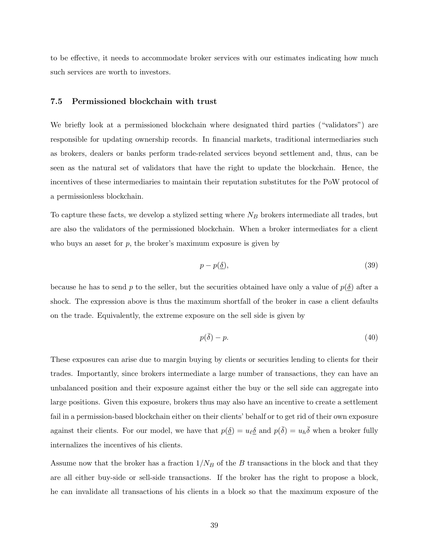to be effective, it needs to accommodate broker services with our estimates indicating how much such services are worth to investors.

#### 7.5 Permissioned blockchain with trust

We briefly look at a permissioned blockchain where designated third parties ("validators") are responsible for updating ownership records. In financial markets, traditional intermediaries such as brokers, dealers or banks perform trade-related services beyond settlement and, thus, can be seen as the natural set of validators that have the right to update the blockchain. Hence, the incentives of these intermediaries to maintain their reputation substitutes for the PoW protocol of a permissionless blockchain.

To capture these facts, we develop a stylized setting where  $N_B$  brokers intermediate all trades, but are also the validators of the permissioned blockchain. When a broker intermediates for a client who buys an asset for  $p$ , the broker's maximum exposure is given by

$$
p - p(\underline{\delta}),\tag{39}
$$

because he has to send p to the seller, but the securities obtained have only a value of  $p(\delta)$  after a shock. The expression above is thus the maximum shortfall of the broker in case a client defaults on the trade. Equivalently, the extreme exposure on the sell side is given by

$$
p(\bar{\delta}) - p.\t\t(40)
$$

These exposures can arise due to margin buying by clients or securities lending to clients for their trades. Importantly, since brokers intermediate a large number of transactions, they can have an unbalanced position and their exposure against either the buy or the sell side can aggregate into large positions. Given this exposure, brokers thus may also have an incentive to create a settlement fail in a permission-based blockchain either on their clients' behalf or to get rid of their own exposure against their clients. For our model, we have that  $p(\underline{\delta}) = u_{\ell} \underline{\delta}$  and  $p(\overline{\delta}) = u_h \overline{\delta}$  when a broker fully internalizes the incentives of his clients.

Assume now that the broker has a fraction  $1/N_B$  of the B transactions in the block and that they are all either buy-side or sell-side transactions. If the broker has the right to propose a block, he can invalidate all transactions of his clients in a block so that the maximum exposure of the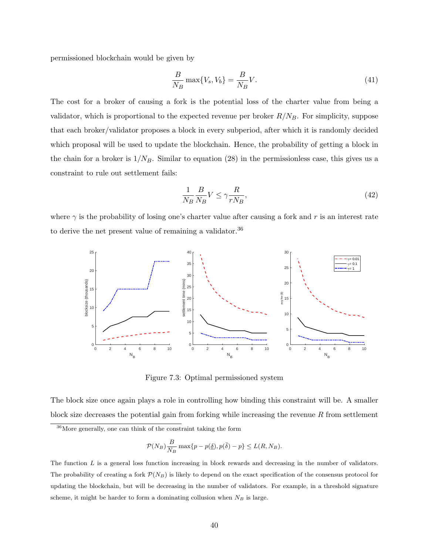permissioned blockchain would be given by

$$
\frac{B}{N_B} \max\{V_s, V_b\} = \frac{B}{N_B} V.
$$
\n(41)

The cost for a broker of causing a fork is the potential loss of the charter value from being a validator, which is proportional to the expected revenue per broker  $R/N_B$ . For simplicity, suppose that each broker/validator proposes a block in every subperiod, after which it is randomly decided which proposal will be used to update the blockchain. Hence, the probability of getting a block in the chain for a broker is  $1/N_B$ . Similar to equation (28) in the permissionless case, this gives us a constraint to rule out settlement fails:

$$
\frac{1}{N_B} \frac{B}{N_B} V \le \gamma \frac{R}{r N_B},\tag{42}
$$

where  $\gamma$  is the probability of losing one's charter value after causing a fork and r is an interest rate to derive the net present value of remaining a validator.<sup>36</sup>



Figure 7.3: Optimal permissioned system

The block size once again plays a role in controlling how binding this constraint will be. A smaller block size decreases the potential gain from forking while increasing the revenue  $R$  from settlement

$$
\mathcal{P}(N_B)\frac{B}{N_B}\max\{p-p(\underline{\delta}), p(\overline{\delta})-p\} \le L(R, N_B).
$$

The function L is a general loss function increasing in block rewards and decreasing in the number of validators. The probability of creating a fork  $\mathcal{P}(N_B)$  is likely to depend on the exact specification of the consensus protocol for updating the blockchain, but will be decreasing in the number of validators. For example, in a threshold signature scheme, it might be harder to form a dominating collusion when  $N_B$  is large.

<sup>36</sup>More generally, one can think of the constraint taking the form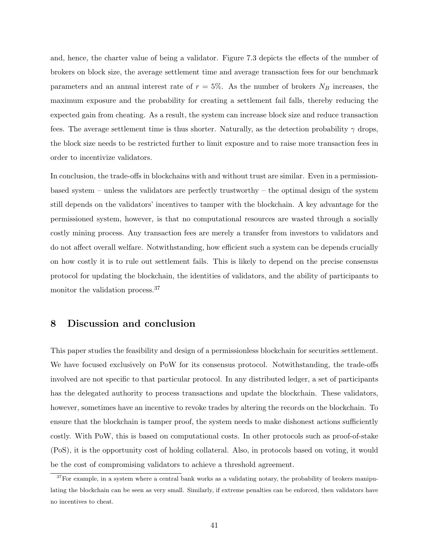and, hence, the charter value of being a validator. Figure 7.3 depicts the effects of the number of brokers on block size, the average settlement time and average transaction fees for our benchmark parameters and an annual interest rate of  $r = 5\%$ . As the number of brokers  $N_B$  increases, the maximum exposure and the probability for creating a settlement fail falls, thereby reducing the expected gain from cheating. As a result, the system can increase block size and reduce transaction fees. The average settlement time is thus shorter. Naturally, as the detection probability  $\gamma$  drops, the block size needs to be restricted further to limit exposure and to raise more transaction fees in order to incentivize validators.

In conclusion, the trade-offs in blockchains with and without trust are similar. Even in a permissionbased system – unless the validators are perfectly trustworthy – the optimal design of the system still depends on the validators' incentives to tamper with the blockchain. A key advantage for the permissioned system, however, is that no computational resources are wasted through a socially costly mining process. Any transaction fees are merely a transfer from investors to validators and do not affect overall welfare. Notwithstanding, how efficient such a system can be depends crucially on how costly it is to rule out settlement fails. This is likely to depend on the precise consensus protocol for updating the blockchain, the identities of validators, and the ability of participants to monitor the validation process.<sup>37</sup>

# 8 Discussion and conclusion

This paper studies the feasibility and design of a permissionless blockchain for securities settlement. We have focused exclusively on PoW for its consensus protocol. Notwithstanding, the trade-offs involved are not specific to that particular protocol. In any distributed ledger, a set of participants has the delegated authority to process transactions and update the blockchain. These validators, however, sometimes have an incentive to revoke trades by altering the records on the blockchain. To ensure that the blockchain is tamper proof, the system needs to make dishonest actions sufficiently costly. With PoW, this is based on computational costs. In other protocols such as proof-of-stake (PoS), it is the opportunity cost of holding collateral. Also, in protocols based on voting, it would be the cost of compromising validators to achieve a threshold agreement.

 $37$  For example, in a system where a central bank works as a validating notary, the probability of brokers manipulating the blockchain can be seen as very small. Similarly, if extreme penalties can be enforced, then validators have no incentives to cheat.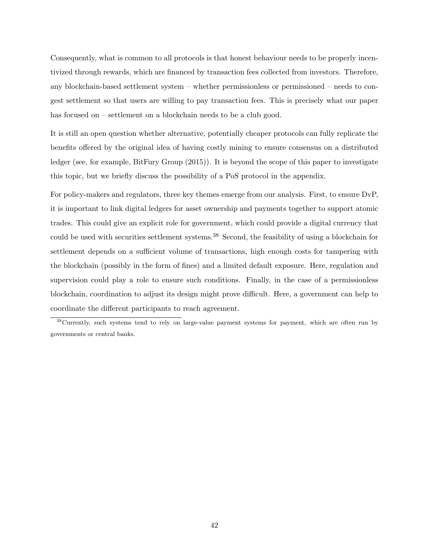Consequently, what is common to all protocols is that honest behaviour needs to be properly incentivized through rewards, which are financed by transaction fees collected from investors. Therefore, any blockchain-based settlement system – whether permissionless or permissioned – needs to congest settlement so that users are willing to pay transaction fees. This is precisely what our paper has focused on – settlement on a blockchain needs to be a club good.

It is still an open question whether alternative, potentially cheaper protocols can fully replicate the benefits offered by the original idea of having costly mining to ensure consensus on a distributed ledger (see, for example, BitFury Group (2015)). It is beyond the scope of this paper to investigate this topic, but we briefly discuss the possibility of a PoS protocol in the appendix.

For policy-makers and regulators, three key themes emerge from our analysis. First, to ensure DvP, it is important to link digital ledgers for asset ownership and payments together to support atomic trades. This could give an explicit role for government, which could provide a digital currency that could be used with securities settlement systems.<sup>38</sup> Second, the feasibility of using a blockchain for settlement depends on a sufficient volume of transactions, high enough costs for tampering with the blockchain (possibly in the form of fines) and a limited default exposure. Here, regulation and supervision could play a role to ensure such conditions. Finally, in the case of a permissionless blockchain, coordination to adjust its design might prove difficult. Here, a government can help to coordinate the different participants to reach agreement.

<sup>&</sup>lt;sup>38</sup>Currently, such systems tend to rely on large-value payment systems for payment, which are often run by governments or central banks.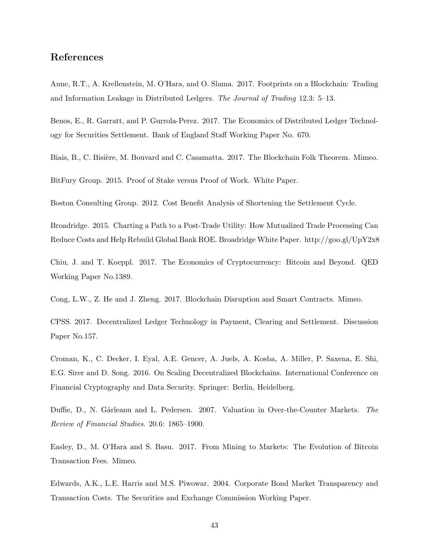# References

Aune, R.T., A. Krellenstein, M. O'Hara, and O. Slama. 2017. Footprints on a Blockchain: Trading and Information Leakage in Distributed Ledgers. The Journal of Trading 12.3: 5–13.

Benos, E., R. Garratt, and P. Gurrola-Perez. 2017. The Economics of Distributed Ledger Technology for Securities Settlement. Bank of England Staff Working Paper No. 670.

Biais, B., C. Bisière, M. Bouvard and C. Casamatta. 2017. The Blockchain Folk Theorem. Mimeo.

BitFury Group. 2015. Proof of Stake versus Proof of Work. White Paper.

Boston Consulting Group. 2012. Cost Benefit Analysis of Shortening the Settlement Cycle.

Broadridge. 2015. Charting a Path to a Post-Trade Utility: How Mutualized Trade Processing Can Reduce Costs and Help Rebuild Global Bank ROE. Broadridge White Paper. http://goo.gl/UpY2x8

Chiu, J. and T. Koeppl. 2017. The Economics of Cryptocurrency: Bitcoin and Beyond. QED Working Paper No.1389.

Cong, L.W., Z. He and J. Zheng. 2017. Blockchain Disruption and Smart Contracts. Mimeo.

CPSS. 2017. Decentralized Ledger Technology in Payment, Clearing and Settlement. Discussion Paper No.157.

Croman, K., C. Decker, I. Eyal, A.E. Gencer, A. Juels, A. Kosba, A. Miller, P. Saxena, E. Shi, E.G. Sirer and D. Song. 2016. On Scaling Decentralized Blockchains. International Conference on Financial Cryptography and Data Security. Springer: Berlin, Heidelberg.

Duffie, D., N. Gârleanu and L. Pedersen. 2007. Valuation in Over-the-Counter Markets. The Review of Financial Studies. 20.6: 1865–1900.

Easley, D., M. O'Hara and S. Basu. 2017. From Mining to Markets: The Evolution of Bitcoin Transaction Fees. Mimeo.

Edwards, A.K., L.E. Harris and M.S. Piwowar. 2004. Corporate Bond Market Transparency and Transaction Costs. The Securities and Exchange Commission Working Paper.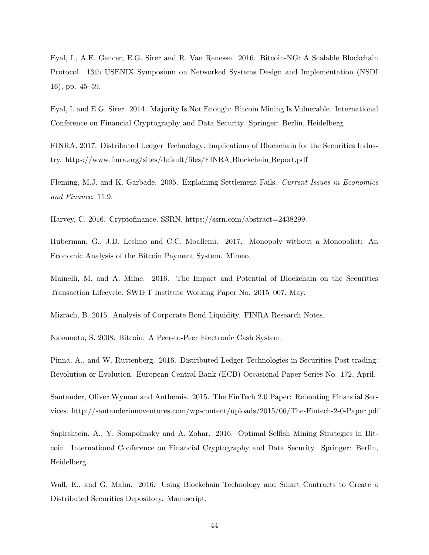Eyal, I., A.E. Gencer, E.G. Sirer and R. Van Renesse. 2016. Bitcoin-NG: A Scalable Blockchain Protocol. 13th USENIX Symposium on Networked Systems Design and Implementation (NSDI 16), pp. 45–59.

Eyal, I. and E.G. Sirer. 2014. Majority Is Not Enough: Bitcoin Mining Is Vulnerable. International Conference on Financial Cryptography and Data Security. Springer: Berlin, Heidelberg.

FINRA. 2017. Distributed Ledger Technology: Implications of Blockchain for the Securities Industry. https://www.finra.org/sites/default/files/FINRA Blockchain Report.pdf

Fleming, M.J. and K. Garbade. 2005. Explaining Settlement Fails. Current Issues in Economics and Finance. 11.9.

Harvey, C. 2016. Cryptofinance. SSRN, https://ssrn.com/abstract=2438299.

Huberman, G., J.D. Leshno and C.C. Moallemi. 2017. Monopoly without a Monopolist: An Economic Analysis of the Bitcoin Payment System. Mimeo.

Mainelli, M. and A. Milne. 2016. The Impact and Potential of Blockchain on the Securities Transaction Lifecycle. SWIFT Institute Working Paper No. 2015–007, May.

Mizrach, B. 2015. Analysis of Corporate Bond Liquidity. FINRA Research Notes.

Nakamoto, S. 2008. Bitcoin: A Peer-to-Peer Electronic Cash System.

Pinna, A., and W. Ruttenberg. 2016. Distributed Ledger Technologies in Securities Post-trading: Revolution or Evolution. European Central Bank (ECB) Occasional Paper Series No. 172, April.

Santander, Oliver Wyman and Anthemis. 2015. The FinTech 2.0 Paper: Rebooting Financial Services. http://santanderinnoventures.com/wp-content/uploads/2015/06/The-Fintech-2-0-Paper.pdf

Sapirshtein, A., Y. Sompolinsky and A. Zohar. 2016. Optimal Selfish Mining Strategies in Bitcoin. International Conference on Financial Cryptography and Data Security. Springer: Berlin, Heidelberg.

Wall, E., and G. Malm. 2016. Using Blockchain Technology and Smart Contracts to Create a Distributed Securities Depository. Manuscript.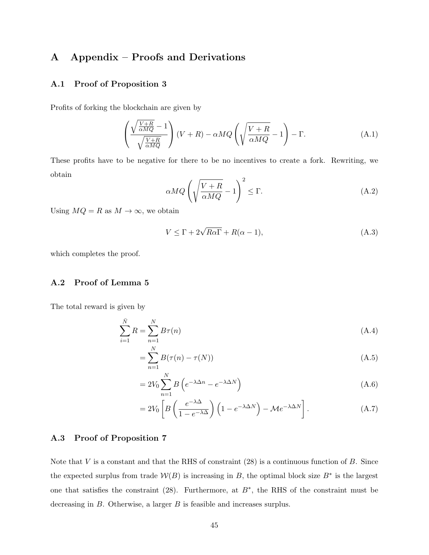# A Appendix – Proofs and Derivations

#### A.1 Proof of Proposition 3

Profits of forking the blockchain are given by

$$
\left(\frac{\sqrt{\frac{V+R}{\alpha MQ}}-1}{\sqrt{\frac{V+R}{\alpha MQ}}}\right)(V+R) - \alpha MQ\left(\sqrt{\frac{V+R}{\alpha MQ}}-1\right) - \Gamma.
$$
\n(A.1)

These profits have to be negative for there to be no incentives to create a fork. Rewriting, we obtain

$$
\alpha MQ\left(\sqrt{\frac{V+R}{\alpha MQ}}-1\right)^2 \le \Gamma.
$$
\n(A.2)

Using  $MQ = R$  as  $M \to \infty$ , we obtain

$$
V \le \Gamma + 2\sqrt{R\alpha\Gamma} + R(\alpha - 1),\tag{A.3}
$$

which completes the proof.

#### A.2 Proof of Lemma 5

The total reward is given by

$$
\sum_{i=1}^{\bar{N}} R = \sum_{n=1}^{N} B\tau(n)
$$
\n(A.4)

$$
=\sum_{n=1}^{N}B(\tau(n)-\tau(N))
$$
\n(A.5)

$$
=2V_0\sum_{n=1}^{N}B\left(e^{-\lambda\Delta n}-e^{-\lambda\Delta N}\right)
$$
\n(A.6)

$$
=2V_0\left[B\left(\frac{e^{-\lambda\Delta}}{1-e^{-\lambda\Delta}}\right)\left(1-e^{-\lambda\Delta N}\right)-\mathcal{M}e^{-\lambda\Delta N}\right].
$$
 (A.7)

#### A.3 Proof of Proposition 7

Note that  $V$  is a constant and that the RHS of constraint  $(28)$  is a continuous function of  $B$ . Since the expected surplus from trade  $W(B)$  is increasing in B, the optimal block size  $B^*$  is the largest one that satisfies the constraint  $(28)$ . Furthermore, at  $B^*$ , the RHS of the constraint must be decreasing in B. Otherwise, a larger B is feasible and increases surplus.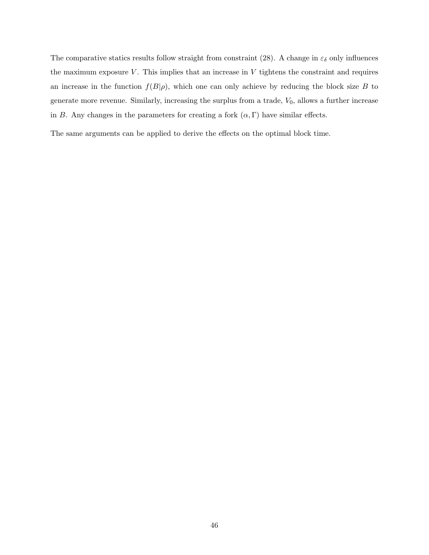The comparative statics results follow straight from constraint (28). A change in  $\varepsilon_{\delta}$  only influences the maximum exposure  $V$ . This implies that an increase in  $V$  tightens the constraint and requires an increase in the function  $f(B|\rho)$ , which one can only achieve by reducing the block size B to generate more revenue. Similarly, increasing the surplus from a trade,  $V_0$ , allows a further increase in B. Any changes in the parameters for creating a fork  $(\alpha, \Gamma)$  have similar effects.

The same arguments can be applied to derive the effects on the optimal block time.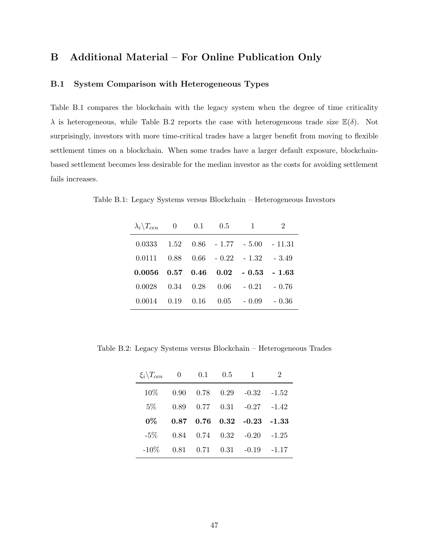# B Additional Material – For Online Publication Only

#### B.1 System Comparison with Heterogeneous Types

Table B.1 compares the blockchain with the legacy system when the degree of time criticality  $\lambda$  is heterogeneous, while Table B.2 reports the case with heterogeneous trade size  $\mathbb{E}(\delta)$ . Not surprisingly, investors with more time-critical trades have a larger benefit from moving to flexible settlement times on a blockchain. When some trades have a larger default exposure, blockchainbased settlement becomes less desirable for the median investor as the costs for avoiding settlement fails increases.

| $\lambda_i \backslash T_{cen}$ 0 0.1 0.5 1 |  |                              |                                                 | $\dot{2}$ |
|--------------------------------------------|--|------------------------------|-------------------------------------------------|-----------|
|                                            |  |                              | $0.0333$ $1.52$ $0.86$ $-1.77$ $-5.00$ $-11.31$ |           |
|                                            |  |                              | $0.0111$ $0.88$ $0.66$ $-0.22$ $-1.32$ $-3.49$  |           |
|                                            |  |                              | $0.0056$ $0.57$ $0.46$ $0.02$ $-0.53$ $-1.63$   |           |
|                                            |  |                              | $0.0028$ $0.34$ $0.28$ $0.06$ $-0.21$ $-0.76$   |           |
| 0.0014                                     |  | $0.19$ $0.16$ $0.05$ $-0.09$ |                                                 | - 0.36    |

Table B.1: Legacy Systems versus Blockchain – Heterogeneous Investors

Table B.2: Legacy Systems versus Blockchain – Heterogeneous Trades

| $\xi_i \backslash T_{cen}$ 0 0.1 0.5 1 |  |                                        | 2 |
|----------------------------------------|--|----------------------------------------|---|
|                                        |  | $10\%$ 0.90 0.78 0.29 -0.32 -1.52      |   |
| $5\%$                                  |  | $0.89$ $0.77$ $0.31$ $-0.27$ $-1.42$   |   |
| $0\%$                                  |  | $0.87$ $0.76$ $0.32$ $-0.23$ $-1.33$   |   |
|                                        |  | $-5\%$ 0.84 0.74 0.32 $-0.20$ $-1.25$  |   |
|                                        |  | $-10\%$ 0.81 0.71 0.31 $-0.19$ $-1.17$ |   |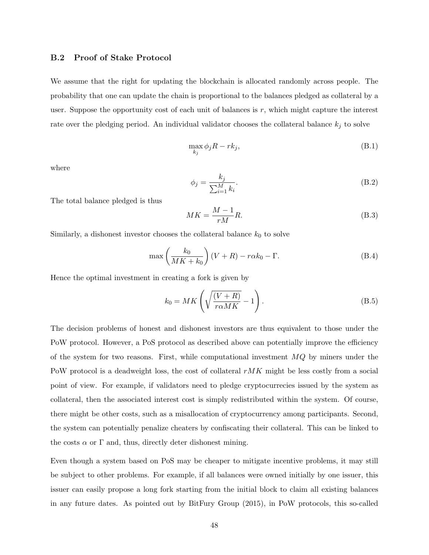#### B.2 Proof of Stake Protocol

We assume that the right for updating the blockchain is allocated randomly across people. The probability that one can update the chain is proportional to the balances pledged as collateral by a user. Suppose the opportunity cost of each unit of balances is  $r$ , which might capture the interest rate over the pledging period. An individual validator chooses the collateral balance  $k_j$  to solve

$$
\max_{k_j} \phi_j R - r k_j,
$$
\n(B.1)

where

$$
\phi_j = \frac{k_j}{\sum_{i=1}^M k_i}.\tag{B.2}
$$

The total balance pledged is thus

$$
MK = \frac{M-1}{rM}R.\tag{B.3}
$$

Similarly, a dishonest investor chooses the collateral balance  $k_0$  to solve

$$
\max\left(\frac{k_0}{MK+k_0}\right)(V+R) - r\alpha k_0 - \Gamma.
$$
\n(B.4)

Hence the optimal investment in creating a fork is given by

$$
k_0 = MK \left( \sqrt{\frac{(V+R)}{r\alpha MK}} - 1 \right). \tag{B.5}
$$

The decision problems of honest and dishonest investors are thus equivalent to those under the PoW protocol. However, a PoS protocol as described above can potentially improve the efficiency of the system for two reasons. First, while computational investment  $MQ$  by miners under the PoW protocol is a deadweight loss, the cost of collateral rMK might be less costly from a social point of view. For example, if validators need to pledge cryptocurrecies issued by the system as collateral, then the associated interest cost is simply redistributed within the system. Of course, there might be other costs, such as a misallocation of cryptocurrency among participants. Second, the system can potentially penalize cheaters by confiscating their collateral. This can be linked to the costs  $\alpha$  or  $\Gamma$  and, thus, directly deter dishonest mining.

Even though a system based on PoS may be cheaper to mitigate incentive problems, it may still be subject to other problems. For example, if all balances were owned initially by one issuer, this issuer can easily propose a long fork starting from the initial block to claim all existing balances in any future dates. As pointed out by BitFury Group (2015), in PoW protocols, this so-called